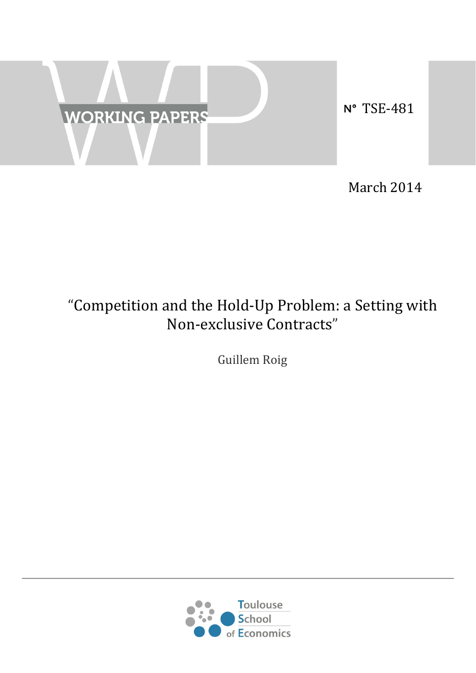

March 2014

# "Competition and the Hold-Up Problem: a Setting with Non-exclusive Contracts"

Guillem Roig

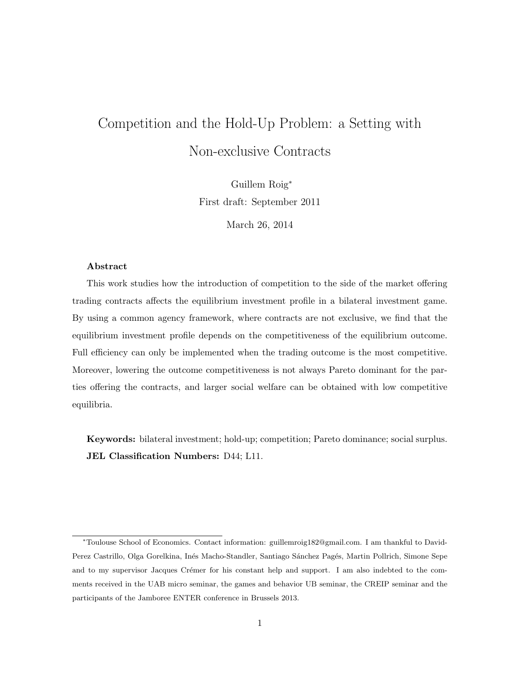# <span id="page-1-0"></span>Competition and the Hold-Up Problem: a Setting with Non-exclusive Contracts

Guillem Roig<sup>∗</sup> First draft: September 2011

March 26, 2014

#### Abstract

This work studies how the introduction of competition to the side of the market offering trading contracts affects the equilibrium investment profile in a bilateral investment game. By using a common agency framework, where contracts are not exclusive, we find that the equilibrium investment profile depends on the competitiveness of the equilibrium outcome. Full efficiency can only be implemented when the trading outcome is the most competitive. Moreover, lowering the outcome competitiveness is not always Pareto dominant for the parties offering the contracts, and larger social welfare can be obtained with low competitive equilibria.

Keywords: bilateral investment; hold-up; competition; Pareto dominance; social surplus. JEL Classification Numbers: D44; L11.

<sup>∗</sup>Toulouse School of Economics. Contact information: guillemroig182@gmail.com. I am thankful to David-Perez Castrillo, Olga Gorelkina, Inés Macho-Standler, Santiago Sánchez Pagés, Martin Pollrich, Simone Sepe and to my supervisor Jacques Crémer for his constant help and support. I am also indebted to the comments received in the UAB micro seminar, the games and behavior UB seminar, the CREIP seminar and the participants of the Jamboree ENTER conference in Brussels 2013.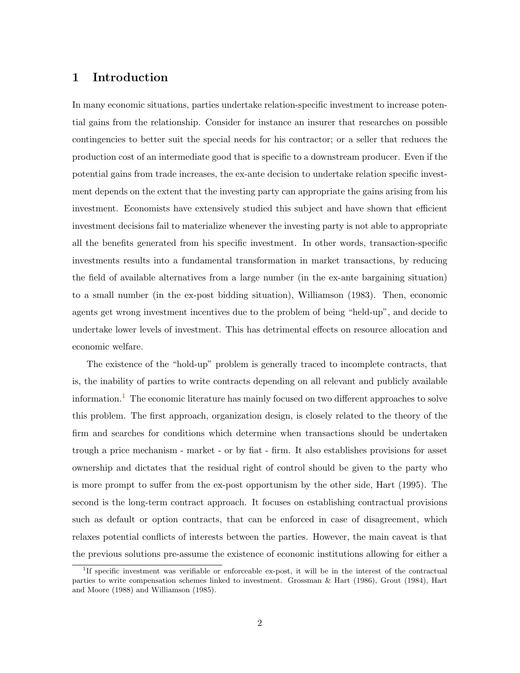## 1 Introduction

In many economic situations, parties undertake relation-specific investment to increase potential gains from the relationship. Consider for instance an insurer that researches on possible contingencies to better suit the special needs for his contractor; or a seller that reduces the production cost of an intermediate good that is specific to a downstream producer. Even if the potential gains from trade increases, the ex-ante decision to undertake relation specific investment depends on the extent that the investing party can appropriate the gains arising from his investment. Economists have extensively studied this subject and have shown that efficient investment decisions fail to materialize whenever the investing party is not able to appropriate all the benefits generated from his specific investment. In other words, transaction-specific investments results into a fundamental transformation in market transactions, by reducing the field of available alternatives from a large number (in the ex-ante bargaining situation) to a small number (in the ex-post bidding situation), Williamson (1983). Then, economic agents get wrong investment incentives due to the problem of being "held-up", and decide to undertake lower levels of investment. This has detrimental effects on resource allocation and economic welfare.

The existence of the "hold-up" problem is generally traced to incomplete contracts, that is, the inability of parties to write contracts depending on all relevant and publicly available information.<sup>[1](#page-1-0)</sup> The economic literature has mainly focused on two different approaches to solve this problem. The first approach, organization design, is closely related to the theory of the firm and searches for conditions which determine when transactions should be undertaken trough a price mechanism - market - or by fiat - firm. It also establishes provisions for asset ownership and dictates that the residual right of control should be given to the party who is more prompt to suffer from the ex-post opportunism by the other side, Hart (1995). The second is the long-term contract approach. It focuses on establishing contractual provisions such as default or option contracts, that can be enforced in case of disagreement, which relaxes potential conflicts of interests between the parties. However, the main caveat is that the previous solutions pre-assume the existence of economic institutions allowing for either a

<sup>1</sup> If specific investment was verifiable or enforceable ex-post, it will be in the interest of the contractual parties to write compensation schemes linked to investment. Grossman & Hart (1986), Grout (1984), Hart and Moore (1988) and Williamson (1985).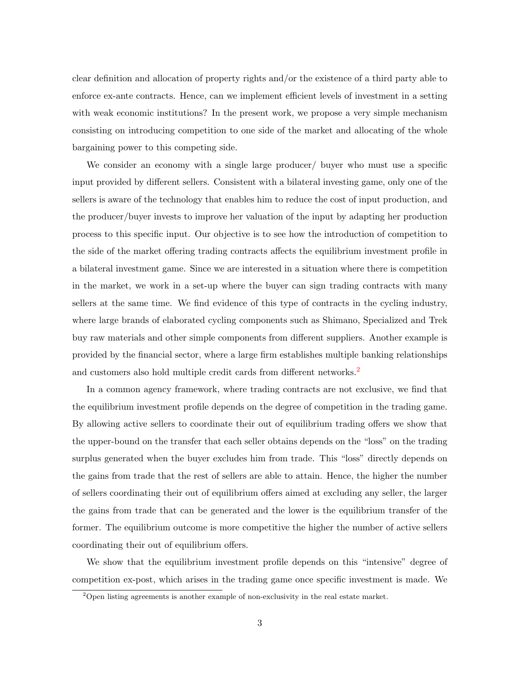clear definition and allocation of property rights and/or the existence of a third party able to enforce ex-ante contracts. Hence, can we implement efficient levels of investment in a setting with weak economic institutions? In the present work, we propose a very simple mechanism consisting on introducing competition to one side of the market and allocating of the whole bargaining power to this competing side.

We consider an economy with a single large producer/ buyer who must use a specific input provided by different sellers. Consistent with a bilateral investing game, only one of the sellers is aware of the technology that enables him to reduce the cost of input production, and the producer/buyer invests to improve her valuation of the input by adapting her production process to this specific input. Our objective is to see how the introduction of competition to the side of the market offering trading contracts affects the equilibrium investment profile in a bilateral investment game. Since we are interested in a situation where there is competition in the market, we work in a set-up where the buyer can sign trading contracts with many sellers at the same time. We find evidence of this type of contracts in the cycling industry, where large brands of elaborated cycling components such as Shimano, Specialized and Trek buy raw materials and other simple components from different suppliers. Another example is provided by the financial sector, where a large firm establishes multiple banking relationships and customers also hold multiple credit cards from different networks.<sup>[2](#page-1-0)</sup>

In a common agency framework, where trading contracts are not exclusive, we find that the equilibrium investment profile depends on the degree of competition in the trading game. By allowing active sellers to coordinate their out of equilibrium trading offers we show that the upper-bound on the transfer that each seller obtains depends on the "loss" on the trading surplus generated when the buyer excludes him from trade. This "loss" directly depends on the gains from trade that the rest of sellers are able to attain. Hence, the higher the number of sellers coordinating their out of equilibrium offers aimed at excluding any seller, the larger the gains from trade that can be generated and the lower is the equilibrium transfer of the former. The equilibrium outcome is more competitive the higher the number of active sellers coordinating their out of equilibrium offers.

We show that the equilibrium investment profile depends on this "intensive" degree of competition ex-post, which arises in the trading game once specific investment is made. We

 $2$ Open listing agreements is another example of non-exclusivity in the real estate market.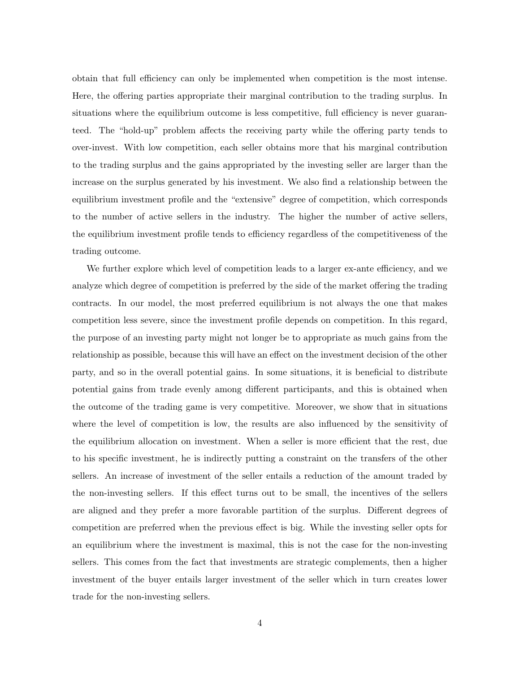obtain that full efficiency can only be implemented when competition is the most intense. Here, the offering parties appropriate their marginal contribution to the trading surplus. In situations where the equilibrium outcome is less competitive, full efficiency is never guaranteed. The "hold-up" problem affects the receiving party while the offering party tends to over-invest. With low competition, each seller obtains more that his marginal contribution to the trading surplus and the gains appropriated by the investing seller are larger than the increase on the surplus generated by his investment. We also find a relationship between the equilibrium investment profile and the "extensive" degree of competition, which corresponds to the number of active sellers in the industry. The higher the number of active sellers, the equilibrium investment profile tends to efficiency regardless of the competitiveness of the trading outcome.

We further explore which level of competition leads to a larger ex-ante efficiency, and we analyze which degree of competition is preferred by the side of the market offering the trading contracts. In our model, the most preferred equilibrium is not always the one that makes competition less severe, since the investment profile depends on competition. In this regard, the purpose of an investing party might not longer be to appropriate as much gains from the relationship as possible, because this will have an effect on the investment decision of the other party, and so in the overall potential gains. In some situations, it is beneficial to distribute potential gains from trade evenly among different participants, and this is obtained when the outcome of the trading game is very competitive. Moreover, we show that in situations where the level of competition is low, the results are also influenced by the sensitivity of the equilibrium allocation on investment. When a seller is more efficient that the rest, due to his specific investment, he is indirectly putting a constraint on the transfers of the other sellers. An increase of investment of the seller entails a reduction of the amount traded by the non-investing sellers. If this effect turns out to be small, the incentives of the sellers are aligned and they prefer a more favorable partition of the surplus. Different degrees of competition are preferred when the previous effect is big. While the investing seller opts for an equilibrium where the investment is maximal, this is not the case for the non-investing sellers. This comes from the fact that investments are strategic complements, then a higher investment of the buyer entails larger investment of the seller which in turn creates lower trade for the non-investing sellers.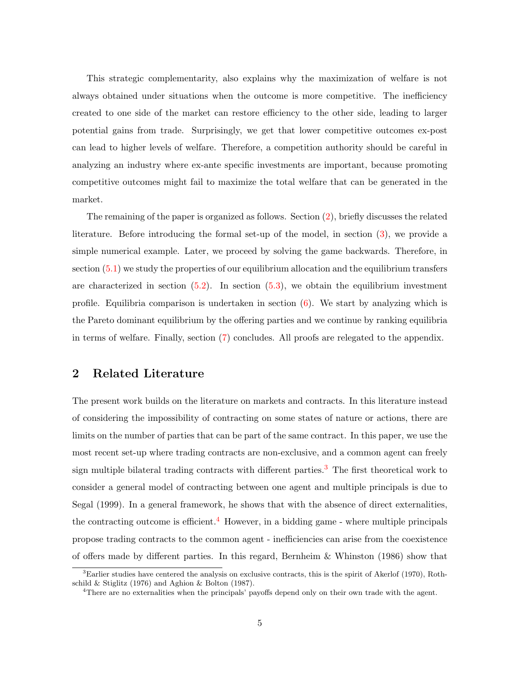This strategic complementarity, also explains why the maximization of welfare is not always obtained under situations when the outcome is more competitive. The inefficiency created to one side of the market can restore efficiency to the other side, leading to larger potential gains from trade. Surprisingly, we get that lower competitive outcomes ex-post can lead to higher levels of welfare. Therefore, a competition authority should be careful in analyzing an industry where ex-ante specific investments are important, because promoting competitive outcomes might fail to maximize the total welfare that can be generated in the market.

The remaining of the paper is organized as follows. Section [\(2\)](#page-5-0), briefly discusses the related literature. Before introducing the formal set-up of the model, in section [\(3\)](#page-7-0), we provide a simple numerical example. Later, we proceed by solving the game backwards. Therefore, in section [\(5.1\)](#page-13-0) we study the properties of our equilibrium allocation and the equilibrium transfers are characterized in section  $(5.2)$ . In section  $(5.3)$ , we obtain the equilibrium investment profile. Equilibria comparison is undertaken in section  $(6)$ . We start by analyzing which is the Pareto dominant equilibrium by the offering parties and we continue by ranking equilibria in terms of welfare. Finally, section [\(7\)](#page-30-0) concludes. All proofs are relegated to the appendix.

## <span id="page-5-0"></span>2 Related Literature

The present work builds on the literature on markets and contracts. In this literature instead of considering the impossibility of contracting on some states of nature or actions, there are limits on the number of parties that can be part of the same contract. In this paper, we use the most recent set-up where trading contracts are non-exclusive, and a common agent can freely sign multiple bilateral trading contracts with different parties.[3](#page-1-0) The first theoretical work to consider a general model of contracting between one agent and multiple principals is due to Segal (1999). In a general framework, he shows that with the absence of direct externalities, the contracting outcome is efficient.<sup>[4](#page-1-0)</sup> However, in a bidding game - where multiple principals propose trading contracts to the common agent - inefficiencies can arise from the coexistence of offers made by different parties. In this regard, Bernheim & Whinston (1986) show that

 ${}^{3}$ Earlier studies have centered the analysis on exclusive contracts, this is the spirit of Akerlof (1970), Rothschild & Stiglitz (1976) and Aghion & Bolton (1987).

<sup>4</sup>There are no externalities when the principals' payoffs depend only on their own trade with the agent.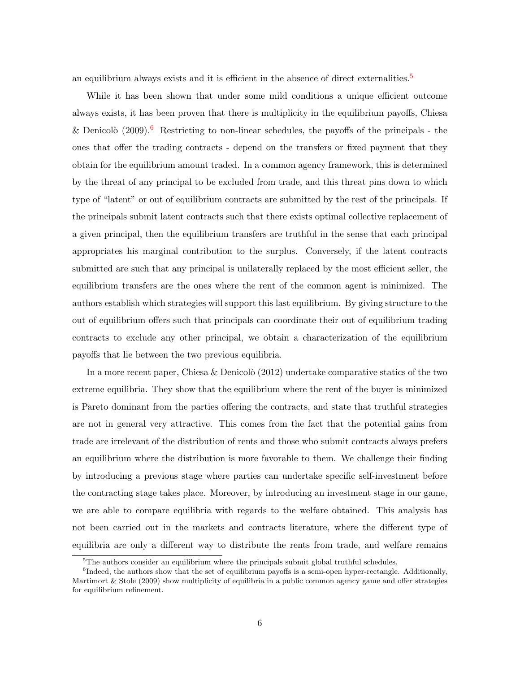an equilibrium always exists and it is efficient in the absence of direct externalities.<sup>[5](#page-1-0)</sup>

While it has been shown that under some mild conditions a unique efficient outcome always exists, it has been proven that there is multiplicity in the equilibrium payoffs, Chiesa & Denicolò (2009).<sup>[6](#page-1-0)</sup> Restricting to non-linear schedules, the payoffs of the principals - the ones that offer the trading contracts - depend on the transfers or fixed payment that they obtain for the equilibrium amount traded. In a common agency framework, this is determined by the threat of any principal to be excluded from trade, and this threat pins down to which type of "latent" or out of equilibrium contracts are submitted by the rest of the principals. If the principals submit latent contracts such that there exists optimal collective replacement of a given principal, then the equilibrium transfers are truthful in the sense that each principal appropriates his marginal contribution to the surplus. Conversely, if the latent contracts submitted are such that any principal is unilaterally replaced by the most efficient seller, the equilibrium transfers are the ones where the rent of the common agent is minimized. The authors establish which strategies will support this last equilibrium. By giving structure to the out of equilibrium offers such that principals can coordinate their out of equilibrium trading contracts to exclude any other principal, we obtain a characterization of the equilibrium payoffs that lie between the two previous equilibria.

In a more recent paper, Chiesa & Denicolò (2012) undertake comparative statics of the two extreme equilibria. They show that the equilibrium where the rent of the buyer is minimized is Pareto dominant from the parties offering the contracts, and state that truthful strategies are not in general very attractive. This comes from the fact that the potential gains from trade are irrelevant of the distribution of rents and those who submit contracts always prefers an equilibrium where the distribution is more favorable to them. We challenge their finding by introducing a previous stage where parties can undertake specific self-investment before the contracting stage takes place. Moreover, by introducing an investment stage in our game, we are able to compare equilibria with regards to the welfare obtained. This analysis has not been carried out in the markets and contracts literature, where the different type of equilibria are only a different way to distribute the rents from trade, and welfare remains

 $5$ The authors consider an equilibrium where the principals submit global truthful schedules.

<sup>&</sup>lt;sup>6</sup>Indeed, the authors show that the set of equilibrium payoffs is a semi-open hyper-rectangle. Additionally, Martimort & Stole (2009) show multiplicity of equilibria in a public common agency game and offer strategies for equilibrium refinement.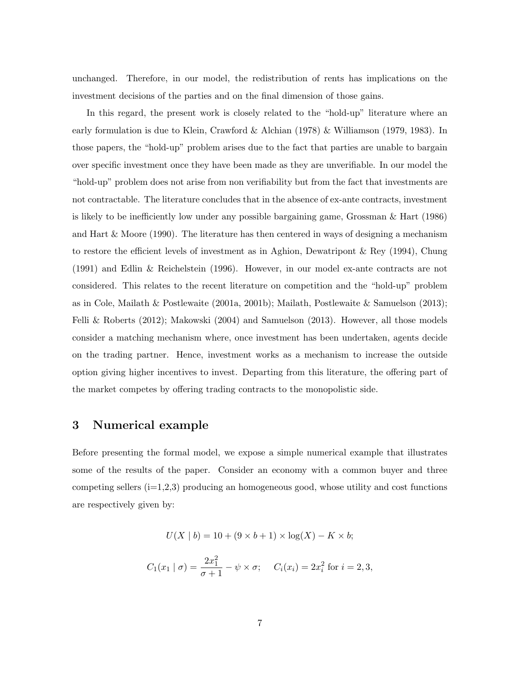unchanged. Therefore, in our model, the redistribution of rents has implications on the investment decisions of the parties and on the final dimension of those gains.

In this regard, the present work is closely related to the "hold-up" literature where an early formulation is due to Klein, Crawford & Alchian (1978) & Williamson (1979, 1983). In those papers, the "hold-up" problem arises due to the fact that parties are unable to bargain over specific investment once they have been made as they are unverifiable. In our model the "hold-up" problem does not arise from non verifiability but from the fact that investments are not contractable. The literature concludes that in the absence of ex-ante contracts, investment is likely to be inefficiently low under any possible bargaining game, Grossman & Hart (1986) and Hart & Moore (1990). The literature has then centered in ways of designing a mechanism to restore the efficient levels of investment as in Aghion, Dewatripont & Rey (1994), Chung (1991) and Edlin & Reichelstein (1996). However, in our model ex-ante contracts are not considered. This relates to the recent literature on competition and the "hold-up" problem as in Cole, Mailath & Postlewaite (2001a, 2001b); Mailath, Postlewaite & Samuelson (2013); Felli & Roberts (2012); Makowski (2004) and Samuelson (2013). However, all those models consider a matching mechanism where, once investment has been undertaken, agents decide on the trading partner. Hence, investment works as a mechanism to increase the outside option giving higher incentives to invest. Departing from this literature, the offering part of the market competes by offering trading contracts to the monopolistic side.

### <span id="page-7-0"></span>3 Numerical example

Before presenting the formal model, we expose a simple numerical example that illustrates some of the results of the paper. Consider an economy with a common buyer and three competing sellers  $(i=1,2,3)$  producing an homogeneous good, whose utility and cost functions are respectively given by:

$$
U(X | b) = 10 + (9 \times b + 1) \times \log(X) - K \times b;
$$
  

$$
C_1(x_1 | \sigma) = \frac{2x_1^2}{\sigma + 1} - \psi \times \sigma; \quad C_i(x_i) = 2x_i^2 \text{ for } i = 2, 3,
$$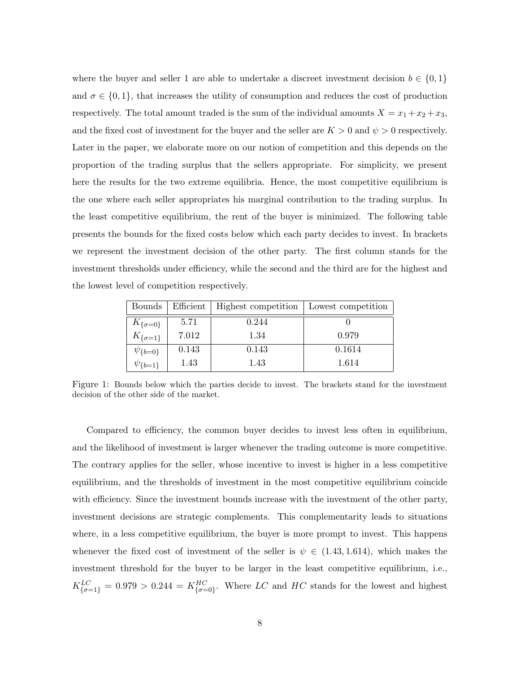where the buyer and seller 1 are able to undertake a discreet investment decision  $b \in \{0,1\}$ and  $\sigma \in \{0,1\}$ , that increases the utility of consumption and reduces the cost of production respectively. The total amount traded is the sum of the individual amounts  $X = x_1 + x_2 + x_3$ , and the fixed cost of investment for the buyer and the seller are  $K > 0$  and  $\psi > 0$  respectively. Later in the paper, we elaborate more on our notion of competition and this depends on the proportion of the trading surplus that the sellers appropriate. For simplicity, we present here the results for the two extreme equilibria. Hence, the most competitive equilibrium is the one where each seller appropriates his marginal contribution to the trading surplus. In the least competitive equilibrium, the rent of the buyer is minimized. The following table presents the bounds for the fixed costs below which each party decides to invest. In brackets we represent the investment decision of the other party. The first column stands for the investment thresholds under efficiency, while the second and the third are for the highest and the lowest level of competition respectively.

| <b>Bounds</b>      | Efficient | Highest competition | Lowest competition |
|--------------------|-----------|---------------------|--------------------|
| $K_{\{\sigma=0\}}$ | 5.71      | 0.244               |                    |
| $K_{\{\sigma=1\}}$ | 7.012     | 1.34                | 0.979              |
| $\psi_{\{b=0\}}$   | 0.143     | 0.143               | 0.1614             |
| $\psi_{\{b=1\}}$   | 1.43      | 1.43                | 1.614              |

Figure 1: Bounds below which the parties decide to invest. The brackets stand for the investment decision of the other side of the market.

Compared to efficiency, the common buyer decides to invest less often in equilibrium, and the likelihood of investment is larger whenever the trading outcome is more competitive. The contrary applies for the seller, whose incentive to invest is higher in a less competitive equilibrium, and the thresholds of investment in the most competitive equilibrium coincide with efficiency. Since the investment bounds increase with the investment of the other party, investment decisions are strategic complements. This complementarity leads to situations where, in a less competitive equilibrium, the buyer is more prompt to invest. This happens whenever the fixed cost of investment of the seller is  $\psi \in (1.43, 1.614)$ , which makes the investment threshold for the buyer to be larger in the least competitive equilibrium, i.e.,  $K_{\{\sigma=1\}}^{LC} = 0.979 > 0.244 = K_{\{\sigma=0\}}^{HC}$ . Where LC and HC stands for the lowest and highest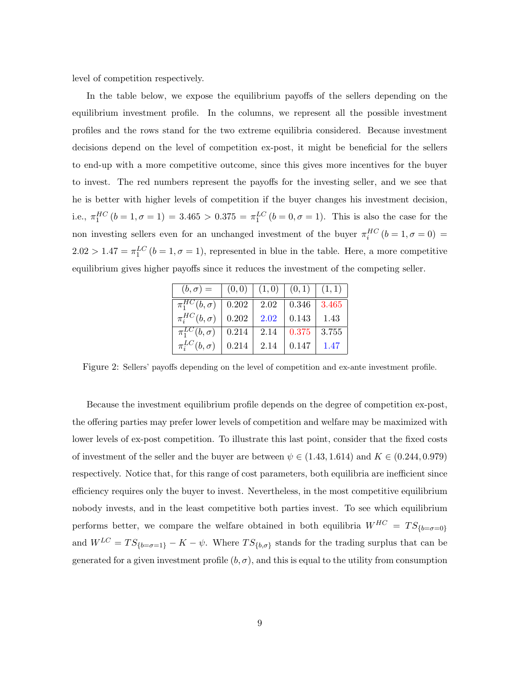level of competition respectively.

In the table below, we expose the equilibrium payoffs of the sellers depending on the equilibrium investment profile. In the columns, we represent all the possible investment profiles and the rows stand for the two extreme equilibria considered. Because investment decisions depend on the level of competition ex-post, it might be beneficial for the sellers to end-up with a more competitive outcome, since this gives more incentives for the buyer to invest. The red numbers represent the payoffs for the investing seller, and we see that he is better with higher levels of competition if the buyer changes his investment decision, i.e.,  $\pi_1^{HC}$   $(b = 1, \sigma = 1) = 3.465 > 0.375 = \pi_1^{LC}$   $(b = 0, \sigma = 1)$ . This is also the case for the non investing sellers even for an unchanged investment of the buyer  $\pi_i^{HC}$  ( $b = 1, \sigma = 0$ ) =  $2.02 > 1.47 = \pi_1^{LC}$   $(b = 1, \sigma = 1)$ , represented in blue in the table. Here, a more competitive equilibrium gives higher payoffs since it reduces the investment of the competing seller.

| $(b,\sigma) =$                            | (0,0)   (1,0)   (0,1)   (1,1) |      |               |       |
|-------------------------------------------|-------------------------------|------|---------------|-------|
| $\overline{\pi_1^{HC}(b,\sigma)}$   0.202 |                               | 2.02 | $\vert 0.346$ | 3.465 |
| $\pi_i^{HC}(b,\sigma)$                    | $\vert 0.202 \vert$           | 2.02 | 0.143         | 1.43  |
| $\overline{\pi_1^{LC}(b,\sigma)}$   0.214 |                               | 2.14 | 0.375         | 3.755 |
| $\pi_i^{LC}(b,\sigma)$                    | 0.214                         | 2.14 | 0.147         | 1.47  |

Figure 2: Sellers' payoffs depending on the level of competition and ex-ante investment profile.

Because the investment equilibrium profile depends on the degree of competition ex-post, the offering parties may prefer lower levels of competition and welfare may be maximized with lower levels of ex-post competition. To illustrate this last point, consider that the fixed costs of investment of the seller and the buyer are between  $\psi \in (1.43, 1.614)$  and  $K \in (0.244, 0.979)$ respectively. Notice that, for this range of cost parameters, both equilibria are inefficient since efficiency requires only the buyer to invest. Nevertheless, in the most competitive equilibrium nobody invests, and in the least competitive both parties invest. To see which equilibrium performs better, we compare the welfare obtained in both equilibria  $W^{HC} = TS_{\{b=\sigma=0\}}$ and  $W^{LC} = TS_{\{b=\sigma=1\}} - K - \psi$ . Where  $TS_{\{b,\sigma\}}$  stands for the trading surplus that can be generated for a given investment profile  $(b, \sigma)$ , and this is equal to the utility from consumption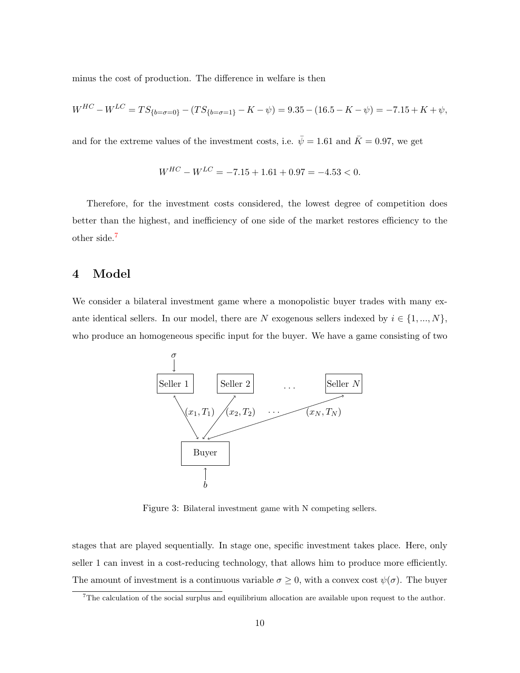minus the cost of production. The difference in welfare is then

$$
W^{HC} - W^{LC} = TS_{\{b = \sigma = 0\}} - (TS_{\{b = \sigma = 1\}} - K - \psi) = 9.35 - (16.5 - K - \psi) = -7.15 + K + \psi,
$$

and for the extreme values of the investment costs, i.e.  $\bar{\psi} = 1.61$  and  $\bar{K} = 0.97$ , we get

$$
W^{HC} - W^{LC} = -7.15 + 1.61 + 0.97 = -4.53 < 0.
$$

Therefore, for the investment costs considered, the lowest degree of competition does better than the highest, and inefficiency of one side of the market restores efficiency to the other side.[7](#page-1-0)

## 4 Model

We consider a bilateral investment game where a monopolistic buyer trades with many exante identical sellers. In our model, there are N exogenous sellers indexed by  $i \in \{1, ..., N\}$ , who produce an homogeneous specific input for the buyer. We have a game consisting of two



Figure 3: Bilateral investment game with N competing sellers.

stages that are played sequentially. In stage one, specific investment takes place. Here, only seller 1 can invest in a cost-reducing technology, that allows him to produce more efficiently. The amount of investment is a continuous variable  $\sigma \geq 0$ , with a convex cost  $\psi(\sigma)$ . The buyer

 $7$ The calculation of the social surplus and equilibrium allocation are available upon request to the author.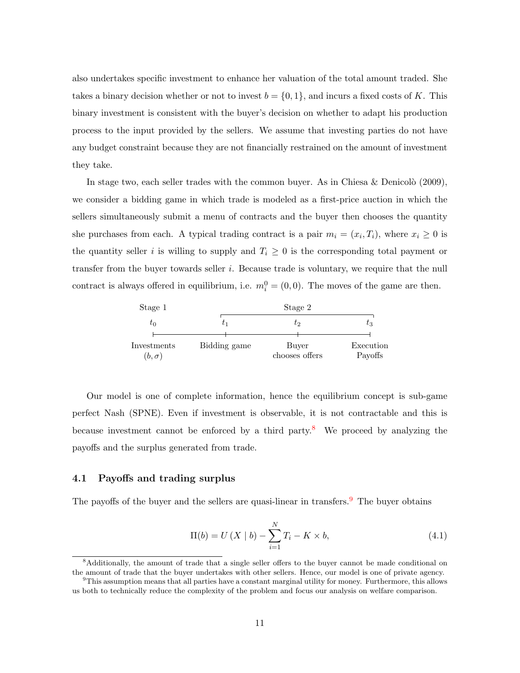also undertakes specific investment to enhance her valuation of the total amount traded. She takes a binary decision whether or not to invest  $b = \{0, 1\}$ , and incurs a fixed costs of K. This binary investment is consistent with the buyer's decision on whether to adapt his production process to the input provided by the sellers. We assume that investing parties do not have any budget constraint because they are not financially restrained on the amount of investment they take.

In stage two, each seller trades with the common buyer. As in Chiesa & Denicolò (2009), we consider a bidding game in which trade is modeled as a first-price auction in which the sellers simultaneously submit a menu of contracts and the buyer then chooses the quantity she purchases from each. A typical trading contract is a pair  $m_i = (x_i, T_i)$ , where  $x_i \geq 0$  is the quantity seller i is willing to supply and  $T_i \geq 0$  is the corresponding total payment or transfer from the buyer towards seller i. Because trade is voluntary, we require that the null contract is always offered in equilibrium, i.e.  $m_i^0 = (0, 0)$ . The moves of the game are then.

| Stage 1                     |              | Stage 2                 |                      |  |  |  |
|-----------------------------|--------------|-------------------------|----------------------|--|--|--|
| $\tau_0$                    |              | U2                      | $\iota_3$            |  |  |  |
| Investments<br>$(b,\sigma)$ | Bidding game | Buyer<br>chooses offers | Execution<br>Payoffs |  |  |  |

Our model is one of complete information, hence the equilibrium concept is sub-game perfect Nash (SPNE). Even if investment is observable, it is not contractable and this is because investment cannot be enforced by a third party.<sup>[8](#page-1-0)</sup> We proceed by analyzing the payoffs and the surplus generated from trade.

#### 4.1 Payoffs and trading surplus

The payoffs of the buyer and the sellers are quasi-linear in transfers.<sup>[9](#page-1-0)</sup> The buyer obtains

<span id="page-11-0"></span>
$$
\Pi(b) = U(X | b) - \sum_{i=1}^{N} T_i - K \times b,
$$
\n(4.1)

<sup>&</sup>lt;sup>8</sup>Additionally, the amount of trade that a single seller offers to the buyer cannot be made conditional on the amount of trade that the buyer undertakes with other sellers. Hence, our model is one of private agency.

 $9$ This assumption means that all parties have a constant marginal utility for money. Furthermore, this allows us both to technically reduce the complexity of the problem and focus our analysis on welfare comparison.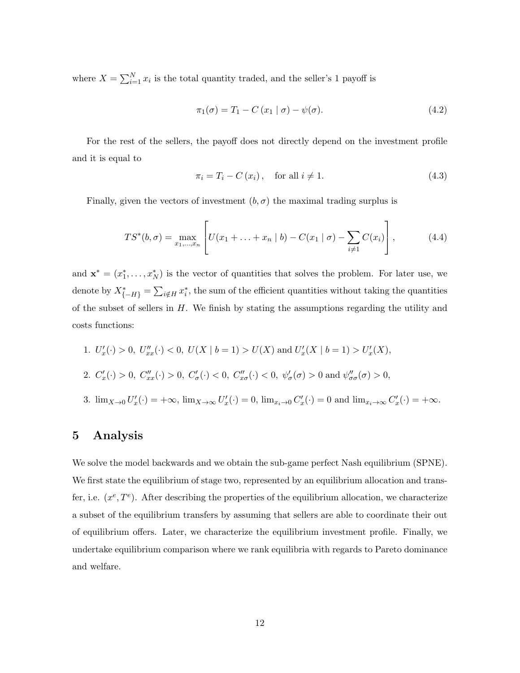where  $X = \sum_{i=1}^{N} x_i$  is the total quantity traded, and the seller's 1 payoff is

$$
\pi_1(\sigma) = T_1 - C(x_1 | \sigma) - \psi(\sigma). \tag{4.2}
$$

For the rest of the sellers, the payoff does not directly depend on the investment profile and it is equal to

<span id="page-12-0"></span>
$$
\pi_i = T_i - C(x_i), \quad \text{for all } i \neq 1. \tag{4.3}
$$

Finally, given the vectors of investment  $(b, \sigma)$  the maximal trading surplus is

<span id="page-12-1"></span>
$$
TS^{*}(b, \sigma) = \max_{x_1, ..., x_n} \left[ U(x_1 + ... + x_n \mid b) - C(x_1 \mid \sigma) - \sum_{i \neq 1} C(x_i) \right],
$$
 (4.4)

and  $\mathbf{x}^* = (x_1^*, \ldots, x_N^*)$  is the vector of quantities that solves the problem. For later use, we denote by  $X_{\{-H\}}^* = \sum_{i \notin H} x_i^*$ , the sum of the efficient quantities without taking the quantities of the subset of sellers in  $H$ . We finish by stating the assumptions regarding the utility and costs functions:

1.  $U'_x(\cdot) > 0$ ,  $U''_{xx}(\cdot) < 0$ ,  $U(X \mid b = 1) > U(X)$  and  $U'_x(X \mid b = 1) > U'_x(X)$ , 2.  $C'_x(\cdot) > 0$ ,  $C''_{xx}(\cdot) > 0$ ,  $C'_\sigma(\cdot) < 0$ ,  $C''_{x\sigma}(\cdot) < 0$ ,  $\psi'_\sigma(\sigma) > 0$  and  $\psi''_{\sigma\sigma}(\sigma) > 0$ , 3.  $\lim_{X\to 0} U'_x(\cdot) = +\infty$ ,  $\lim_{X\to\infty} U'_x(\cdot) = 0$ ,  $\lim_{x_i\to 0} C'_x(\cdot) = 0$  and  $\lim_{x_i\to\infty} C'_x(\cdot) = +\infty$ .

## 5 Analysis

We solve the model backwards and we obtain the sub-game perfect Nash equilibrium (SPNE). We first state the equilibrium of stage two, represented by an equilibrium allocation and transfer, i.e.  $(x^e, T^e)$ . After describing the properties of the equilibrium allocation, we characterize a subset of the equilibrium transfers by assuming that sellers are able to coordinate their out of equilibrium offers. Later, we characterize the equilibrium investment profile. Finally, we undertake equilibrium comparison where we rank equilibria with regards to Pareto dominance and welfare.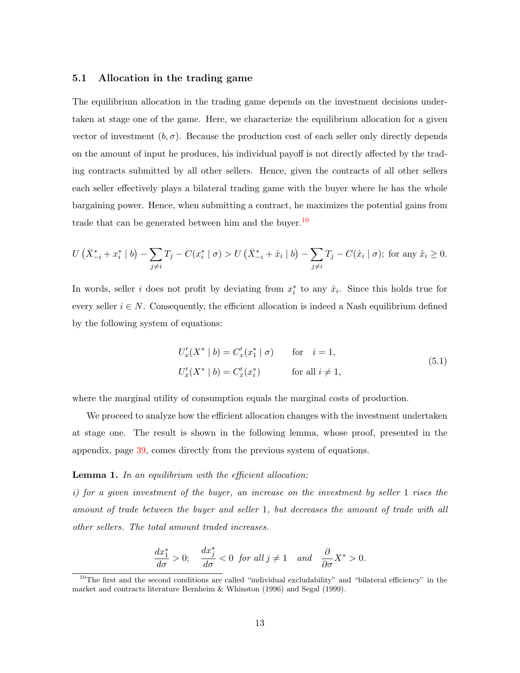#### <span id="page-13-0"></span>5.1 Allocation in the trading game

The equilibrium allocation in the trading game depends on the investment decisions undertaken at stage one of the game. Here, we characterize the equilibrium allocation for a given vector of investment  $(b, \sigma)$ . Because the production cost of each seller only directly depends on the amount of input he produces, his individual payoff is not directly affected by the trading contracts submitted by all other sellers. Hence, given the contracts of all other sellers each seller effectively plays a bilateral trading game with the buyer where he has the whole bargaining power. Hence, when submitting a contract, he maximizes the potential gains from trade that can be generated between him and the buyer.<sup>[10](#page-1-0)</sup>

$$
U\left(\bar{X}_{-i}^* + x_i^* \mid b\right) - \sum_{j \neq i} T_j - C(x_i^* \mid \sigma) > U\left(\bar{X}_{-i}^* + \hat{x}_i \mid b\right) - \sum_{j \neq i} T_j - C(\hat{x}_i \mid \sigma); \text{ for any } \hat{x}_i \geq 0.
$$

In words, seller *i* does not profit by deviating from  $x_i^*$  to any  $\hat{x}_i$ . Since this holds true for every seller  $i \in N$ . Consequently, the efficient allocation is indeed a Nash equilibrium defined by the following system of equations:

$$
U'_x(X^* | b) = C'_x(x_1^* | \sigma) \qquad \text{for} \quad i = 1,
$$
  

$$
U'_x(X^* | b) = C'_x(x_i^*) \qquad \text{for all } i \neq 1,
$$
 (5.1)

<span id="page-13-2"></span>where the marginal utility of consumption equals the marginal costs of production.

We proceed to analyze how the efficient allocation changes with the investment undertaken at stage one. The result is shown in the following lemma, whose proof, presented in the appendix, page [39,](#page-39-0) comes directly from the previous system of equations.

#### <span id="page-13-1"></span>**Lemma 1.** In an equilibrium with the efficient allocation:

i) for a given investment of the buyer, an increase on the investment by seller 1 rises the amount of trade between the buyer and seller 1, but decreases the amount of trade with all other sellers. The total amount traded increases.

$$
\frac{dx_1^*}{d\sigma}>0;\quad \frac{dx_j^*}{d\sigma}<0\;\; \textit{for all}\; j\neq 1 \quad \textit{and}\quad \frac{\partial}{\partial \sigma}X^*>0.
$$

<sup>&</sup>lt;sup>10</sup>The first and the second conditions are called "individual excludability" and "bilateral efficiency" in the market and contracts literature Bernheim & Whinston (1996) and Segal (1999).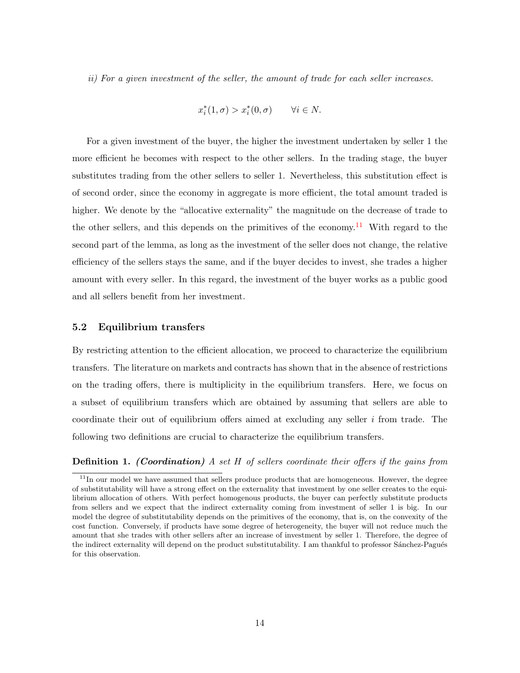ii) For a given investment of the seller, the amount of trade for each seller increases.

$$
x_i^*(1, \sigma) > x_i^*(0, \sigma) \qquad \forall i \in N.
$$

For a given investment of the buyer, the higher the investment undertaken by seller 1 the more efficient he becomes with respect to the other sellers. In the trading stage, the buyer substitutes trading from the other sellers to seller 1. Nevertheless, this substitution effect is of second order, since the economy in aggregate is more efficient, the total amount traded is higher. We denote by the "allocative externality" the magnitude on the decrease of trade to the other sellers, and this depends on the primitives of the economy.<sup>[11](#page-1-0)</sup> With regard to the second part of the lemma, as long as the investment of the seller does not change, the relative efficiency of the sellers stays the same, and if the buyer decides to invest, she trades a higher amount with every seller. In this regard, the investment of the buyer works as a public good and all sellers benefit from her investment.

### <span id="page-14-0"></span>5.2 Equilibrium transfers

By restricting attention to the efficient allocation, we proceed to characterize the equilibrium transfers. The literature on markets and contracts has shown that in the absence of restrictions on the trading offers, there is multiplicity in the equilibrium transfers. Here, we focus on a subset of equilibrium transfers which are obtained by assuming that sellers are able to coordinate their out of equilibrium offers aimed at excluding any seller  $i$  from trade. The following two definitions are crucial to characterize the equilibrium transfers.

#### **Definition 1.** (Coordination) A set H of sellers coordinate their offers if the gains from

 $11$ In our model we have assumed that sellers produce products that are homogeneous. However, the degree of substitutability will have a strong effect on the externality that investment by one seller creates to the equilibrium allocation of others. With perfect homogenous products, the buyer can perfectly substitute products from sellers and we expect that the indirect externality coming from investment of seller 1 is big. In our model the degree of substitutability depends on the primitives of the economy, that is, on the convexity of the cost function. Conversely, if products have some degree of heterogeneity, the buyer will not reduce much the amount that she trades with other sellers after an increase of investment by seller 1. Therefore, the degree of the indirect externality will depend on the product substitutability. I am thankful to professor Sánchez-Pagués for this observation.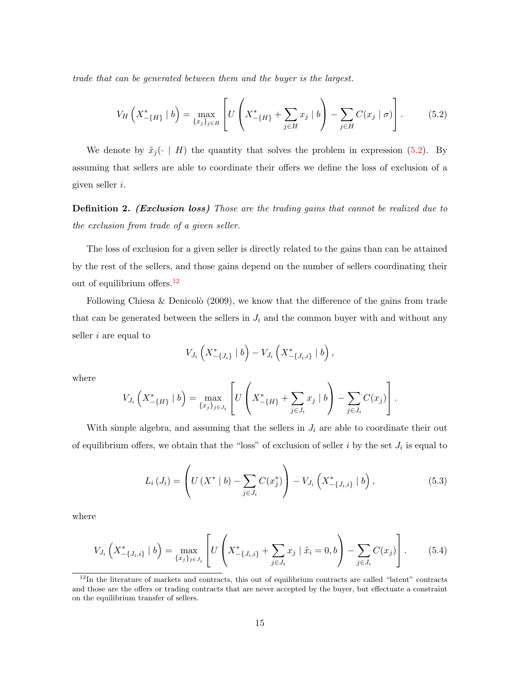trade that can be generated between them and the buyer is the largest.

<span id="page-15-0"></span>
$$
V_H\left(X_{-\{H\}}^*\mid b\right) = \max_{\{x_j\}_{j\in H}} \left[ U\left(X_{-\{H\}}^* + \sum_{j\in H} x_j \mid b\right) - \sum_{j\in H} C(x_j \mid \sigma) \right].
$$
 (5.2)

We denote by  $\tilde{x}_j(\cdot \mid H)$  the quantity that solves the problem in expression [\(5.2\)](#page-15-0). By assuming that sellers are able to coordinate their offers we define the loss of exclusion of a given seller i.

<span id="page-15-1"></span>**Definition 2.** (Exclusion loss) Those are the trading gains that cannot be realized due to the exclusion from trade of a given seller.

The loss of exclusion for a given seller is directly related to the gains than can be attained by the rest of the sellers, and those gains depend on the number of sellers coordinating their out of equilibrium offers.<sup>[12](#page-1-0)</sup>

Following Chiesa & Denicolò (2009), we know that the difference of the gains from trade that can be generated between the sellers in  $J_i$  and the common buyer with and without any seller i are equal to

$$
V_{J_i}\left(X_{-\{J_i\}}^* \mid b\right) - V_{J_i}\left(X_{-\{J_i,i\}}^* \mid b\right),\,
$$

where

$$
V_{J_i}\left(X_{-\{H\}}^* \mid b\right) = \max_{\{x_j\}_{j \in J_i}} \left[ U\left(X_{-\{H\}}^* + \sum_{j \in J_i} x_j \mid b\right) - \sum_{j \in J_i} C(x_j) \right].
$$

With simple algebra, and assuming that the sellers in  $J_i$  are able to coordinate their out of equilibrium offers, we obtain that the "loss" of exclusion of seller  $i$  by the set  $J_i$  is equal to

$$
L_i(J_i) = \left( U\left(X^* \mid b\right) - \sum_{j \in J_i} C(x_j^*) \right) - V_{J_i}\left(X_{-\{J_i, i\}}^* \mid b\right),\tag{5.3}
$$

where

$$
V_{J_i}\left(X_{-\{J_i,i\}}^* \mid b\right) = \max_{\{x_j\}_{j \in J_i}} \left[ U\left(X_{-\{J_i,i\}}^* + \sum_{j \in J_i} x_j \mid \tilde{x}_i = 0, b \right) - \sum_{j \in J_i} C(x_j) \right].
$$
 (5.4)

 $12$ In the literature of markets and contracts, this out of equilibrium contracts are called "latent" contracts and those are the offers or trading contracts that are never accepted by the buyer, but effectuate a constraint on the equilibrium transfer of sellers.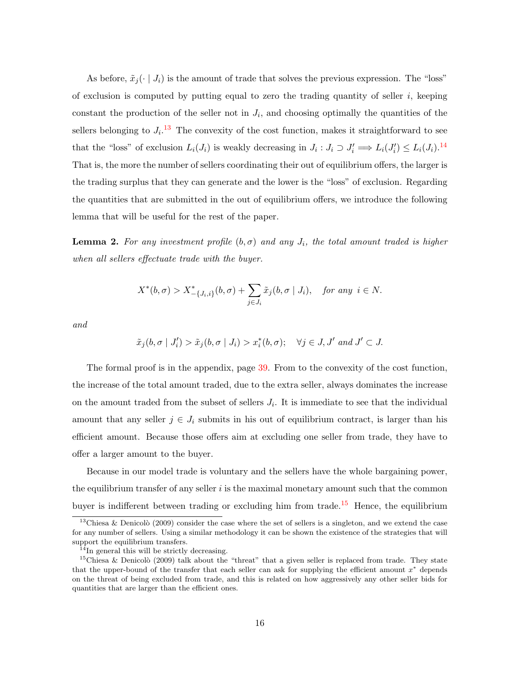As before,  $\tilde{x}_j(\cdot | J_i)$  is the amount of trade that solves the previous expression. The "loss" of exclusion is computed by putting equal to zero the trading quantity of seller  $i$ , keeping constant the production of the seller not in  $J_i$ , and choosing optimally the quantities of the sellers belonging to  $J_i$ <sup>[13](#page-1-0)</sup> The convexity of the cost function, makes it straightforward to see that the "loss" of exclusion  $L_i(J_i)$  is weakly decreasing in  $J_i: J_i \supset J'_i \Longrightarrow L_i(J'_i) \leq L_i(J_i)$ .<sup>[14](#page-1-0)</sup> That is, the more the number of sellers coordinating their out of equilibrium offers, the larger is the trading surplus that they can generate and the lower is the "loss" of exclusion. Regarding the quantities that are submitted in the out of equilibrium offers, we introduce the following lemma that will be useful for the rest of the paper.

<span id="page-16-0"></span>**Lemma 2.** For any investment profile  $(b, \sigma)$  and any  $J_i$ , the total amount traded is higher when all sellers effectuate trade with the buyer.

$$
X^*(b,\sigma) > X^*_{-\{J_i,i\}}(b,\sigma) + \sum_{j \in J_i} \tilde{x}_j(b,\sigma \mid J_i), \quad \text{for any } i \in N.
$$

and

$$
\tilde{x}_j(b, \sigma | J'_i) > \tilde{x}_j(b, \sigma | J_i) > x_i^*(b, \sigma); \quad \forall j \in J, J' \text{ and } J' \subset J.
$$

The formal proof is in the appendix, page [39.](#page-39-1) From to the convexity of the cost function, the increase of the total amount traded, due to the extra seller, always dominates the increase on the amount traded from the subset of sellers  $J_i$ . It is immediate to see that the individual amount that any seller  $j \in J_i$  submits in his out of equilibrium contract, is larger than his efficient amount. Because those offers aim at excluding one seller from trade, they have to offer a larger amount to the buyer.

Because in our model trade is voluntary and the sellers have the whole bargaining power, the equilibrium transfer of any seller  $i$  is the maximal monetary amount such that the common buyer is indifferent between trading or excluding him from trade.<sup>[15](#page-1-0)</sup> Hence, the equilibrium

<sup>&</sup>lt;sup>13</sup>Chiesa & Denicolò (2009) consider the case where the set of sellers is a singleton, and we extend the case for any number of sellers. Using a similar methodology it can be shown the existence of the strategies that will support the equilibrium transfers.

 $14$ In general this will be strictly decreasing.

<sup>&</sup>lt;sup>15</sup>Chiesa & Denicolò (2009) talk about the "threat" that a given seller is replaced from trade. They state that the upper-bound of the transfer that each seller can ask for supplying the efficient amount  $x^*$  depends on the threat of being excluded from trade, and this is related on how aggressively any other seller bids for quantities that are larger than the efficient ones.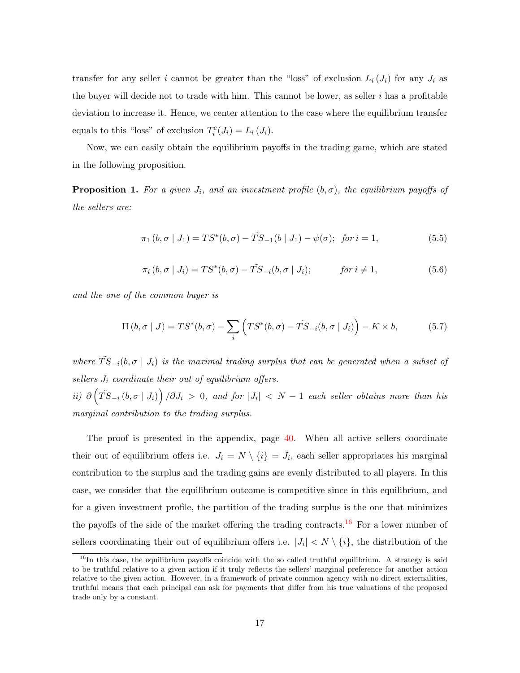transfer for any seller i cannot be greater than the "loss" of exclusion  $L_i(J_i)$  for any  $J_i$  as the buyer will decide not to trade with him. This cannot be lower, as seller  $i$  has a profitable deviation to increase it. Hence, we center attention to the case where the equilibrium transfer equals to this "loss" of exclusion  $T_i^e(J_i) = L_i(J_i)$ .

Now, we can easily obtain the equilibrium payoffs in the trading game, which are stated in the following proposition.

<span id="page-17-0"></span>**Proposition 1.** For a given  $J_i$ , and an investment profile  $(b, \sigma)$ , the equilibrium payoffs of the sellers are:

$$
\pi_1(b, \sigma | J_1) = TS^*(b, \sigma) - \tilde{TS}_{-1}(b | J_1) - \psi(\sigma); \text{ for } i = 1,
$$
\n(5.5)

$$
\pi_i(b, \sigma \mid J_i) = TS^*(b, \sigma) - \tilde{TS}_{-i}(b, \sigma \mid J_i); \qquad \text{for } i \neq 1,
$$
\n
$$
(5.6)
$$

and the one of the common buyer is

$$
\Pi(b,\sigma | J) = TS^*(b,\sigma) - \sum_i \left( TS^*(b,\sigma) - \tilde{TS}_{-i}(b,\sigma | J_i) \right) - K \times b,\tag{5.7}
$$

where  $\tilde{TS}_{-i}(b, \sigma | J_i)$  is the maximal trading surplus that can be generated when a subset of sellers  $J_i$  coordinate their out of equilibrium offers.

ii)  $\partial (\tilde{T}S_{-i} (b, \sigma | J_i)) / \partial J_i > 0$ , and for  $|J_i| < N - 1$  each seller obtains more than his marginal contribution to the trading surplus.

The proof is presented in the appendix, page [40.](#page-40-0) When all active sellers coordinate their out of equilibrium offers i.e.  $J_i = N \setminus \{i\} = \bar{J}_i$ , each seller appropriates his marginal contribution to the surplus and the trading gains are evenly distributed to all players. In this case, we consider that the equilibrium outcome is competitive since in this equilibrium, and for a given investment profile, the partition of the trading surplus is the one that minimizes the payoffs of the side of the market offering the trading contracts.<sup>[16](#page-1-0)</sup> For a lower number of sellers coordinating their out of equilibrium offers i.e.  $|J_i| < N \setminus \{i\}$ , the distribution of the

 $16$ In this case, the equilibrium payoffs coincide with the so called truthful equilibrium. A strategy is said to be truthful relative to a given action if it truly reflects the sellers' marginal preference for another action relative to the given action. However, in a framework of private common agency with no direct externalities, truthful means that each principal can ask for payments that differ from his true valuations of the proposed trade only by a constant.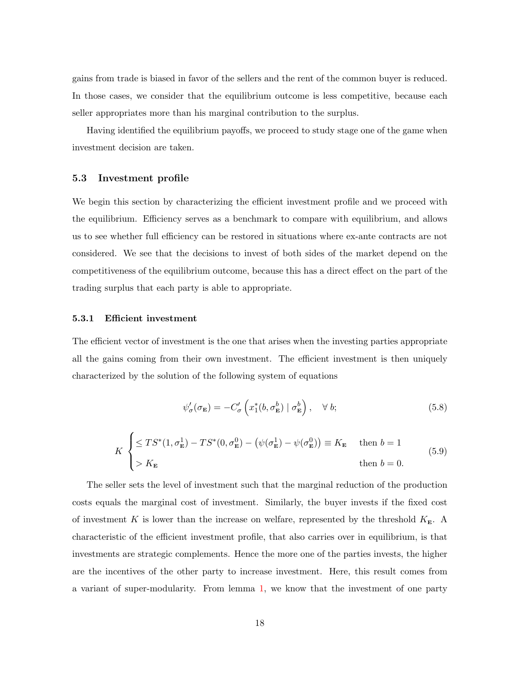gains from trade is biased in favor of the sellers and the rent of the common buyer is reduced. In those cases, we consider that the equilibrium outcome is less competitive, because each seller appropriates more than his marginal contribution to the surplus.

Having identified the equilibrium payoffs, we proceed to study stage one of the game when investment decision are taken.

#### <span id="page-18-0"></span>5.3 Investment profile

We begin this section by characterizing the efficient investment profile and we proceed with the equilibrium. Efficiency serves as a benchmark to compare with equilibrium, and allows us to see whether full efficiency can be restored in situations where ex-ante contracts are not considered. We see that the decisions to invest of both sides of the market depend on the competitiveness of the equilibrium outcome, because this has a direct effect on the part of the trading surplus that each party is able to appropriate.

#### 5.3.1 Efficient investment

The efficient vector of investment is the one that arises when the investing parties appropriate all the gains coming from their own investment. The efficient investment is then uniquely characterized by the solution of the following system of equations

<span id="page-18-1"></span>
$$
\psi_{\sigma}'(\sigma_{\mathbf{E}}) = -C_{\sigma}'\left(x_1^*(b, \sigma_{\mathbf{E}}^b) \mid \sigma_{\mathbf{E}}^b\right), \quad \forall \ b; \tag{5.8}
$$

$$
K \begin{cases} \leq TS^*(1, \sigma_{\mathbf{E}}^1) - TS^*(0, \sigma_{\mathbf{E}}^0) - (\psi(\sigma_{\mathbf{E}}^1) - \psi(\sigma_{\mathbf{E}}^0)) \equiv K_{\mathbf{E}} & \text{then } b = 1 \\ > K_{\mathbf{E}} & \text{then } b = 0. \end{cases}
$$
(5.9)

The seller sets the level of investment such that the marginal reduction of the production costs equals the marginal cost of investment. Similarly, the buyer invests if the fixed cost of investment K is lower than the increase on welfare, represented by the threshold  $K_{\mathbf{E}}$ . A characteristic of the efficient investment profile, that also carries over in equilibrium, is that investments are strategic complements. Hence the more one of the parties invests, the higher are the incentives of the other party to increase investment. Here, this result comes from a variant of super-modularity. From lemma [1,](#page-13-1) we know that the investment of one party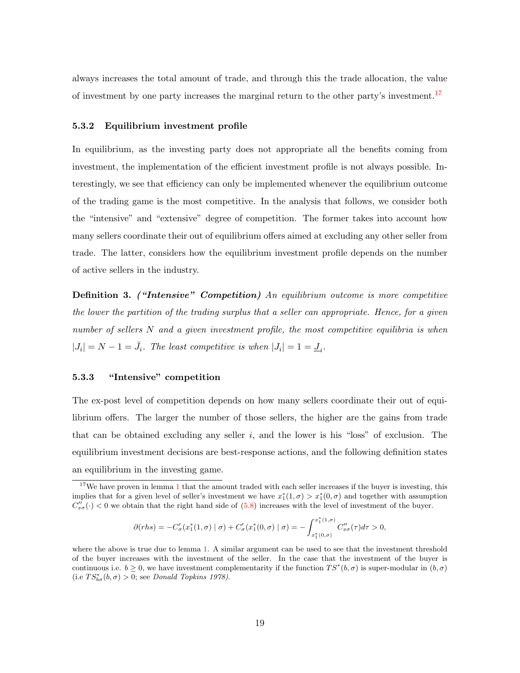always increases the total amount of trade, and through this the trade allocation, the value of investment by one party increases the marginal return to the other party's investment.[17](#page-1-0)

#### 5.3.2 Equilibrium investment profile

In equilibrium, as the investing party does not appropriate all the benefits coming from investment, the implementation of the efficient investment profile is not always possible. Interestingly, we see that efficiency can only be implemented whenever the equilibrium outcome of the trading game is the most competitive. In the analysis that follows, we consider both the "intensive" and "extensive" degree of competition. The former takes into account how many sellers coordinate their out of equilibrium offers aimed at excluding any other seller from trade. The latter, considers how the equilibrium investment profile depends on the number of active sellers in the industry.

Definition 3. ("Intensive" Competition) An equilibrium outcome is more competitive the lower the partition of the trading surplus that a seller can appropriate. Hence, for a given number of sellers N and a given investment profile, the most competitive equilibria is when  $|J_i|=N-1=\bar{J}_i$ . The least competitive is when  $|J_i|=1=\underline{J}_i$ .

#### 5.3.3 "Intensive" competition

The ex-post level of competition depends on how many sellers coordinate their out of equilibrium offers. The larger the number of those sellers, the higher are the gains from trade that can be obtained excluding any seller  $i$ , and the lower is his "loss" of exclusion. The equilibrium investment decisions are best-response actions, and the following definition states an equilibrium in the investing game.

$$
\partial(rhs) = -C'_{\sigma}(x_1^*(1,\sigma) | \sigma) + C'_{\sigma}(x_1^*(0,\sigma) | \sigma) = -\int_{x_1^*(0,\sigma)}^{x_1^*(1,\sigma)} C''_{x\sigma}(\tau) d\tau > 0,
$$

 $17$  $17$ We have proven in lemma 1 that the amount traded with each seller increases if the buyer is investing, this implies that for a given level of seller's investment we have  $x_1^*(1, \sigma) > x_1^*(0, \sigma)$  and together with assumption  $C''_{x\sigma}(\cdot) < 0$  we obtain that the right hand side of  $(5.8)$  increases with the level of investment of the buyer.

where the above is true due to lemma [1.](#page-13-1) A similar argument can be used to see that the investment threshold of the buyer increases with the investment of the seller. In the case that the investment of the buyer is continuous i.e.  $b \ge 0$ , we have investment complementarity if the function  $TS^*(b, \sigma)$  is super-modular in  $(b, \sigma)$ (i.e  $TS_{b\sigma}^*(b, \sigma) > 0$ ; see Donald Topkins 1978).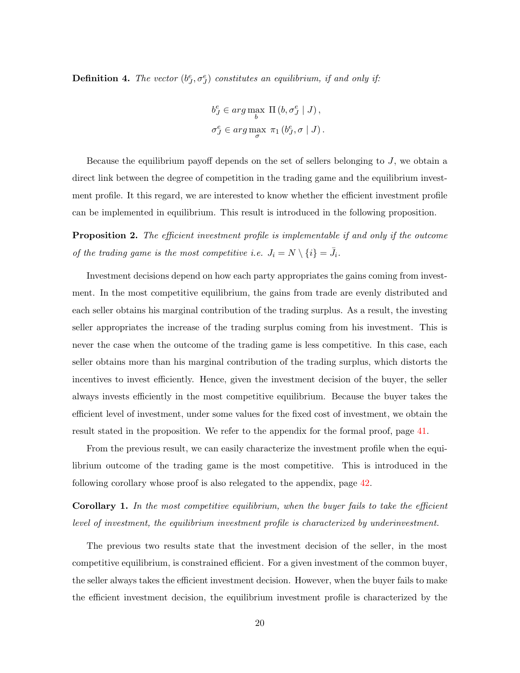**Definition 4.** The vector  $(b^e_J, \sigma^e_J)$  constitutes an equilibrium, if and only if:

$$
b_J^e \in \arg\max_{b} \Pi(b, \sigma_J^e | J),
$$
  

$$
\sigma_J^e \in \arg\max_{\sigma} \pi_1(b_J^e, \sigma | J).
$$

Because the equilibrium payoff depends on the set of sellers belonging to  $J$ , we obtain a direct link between the degree of competition in the trading game and the equilibrium investment profile. It this regard, we are interested to know whether the efficient investment profile can be implemented in equilibrium. This result is introduced in the following proposition.

<span id="page-20-0"></span>**Proposition 2.** The efficient investment profile is implementable if and only if the outcome of the trading game is the most competitive i.e.  $J_i = N \setminus \{i\} = \overline{J_i}$ .

Investment decisions depend on how each party appropriates the gains coming from investment. In the most competitive equilibrium, the gains from trade are evenly distributed and each seller obtains his marginal contribution of the trading surplus. As a result, the investing seller appropriates the increase of the trading surplus coming from his investment. This is never the case when the outcome of the trading game is less competitive. In this case, each seller obtains more than his marginal contribution of the trading surplus, which distorts the incentives to invest efficiently. Hence, given the investment decision of the buyer, the seller always invests efficiently in the most competitive equilibrium. Because the buyer takes the efficient level of investment, under some values for the fixed cost of investment, we obtain the result stated in the proposition. We refer to the appendix for the formal proof, page [41.](#page-41-0)

From the previous result, we can easily characterize the investment profile when the equilibrium outcome of the trading game is the most competitive. This is introduced in the following corollary whose proof is also relegated to the appendix, page [42.](#page-42-0)

<span id="page-20-1"></span>Corollary 1. In the most competitive equilibrium, when the buyer fails to take the efficient level of investment, the equilibrium investment profile is characterized by underinvestment.

The previous two results state that the investment decision of the seller, in the most competitive equilibrium, is constrained efficient. For a given investment of the common buyer, the seller always takes the efficient investment decision. However, when the buyer fails to make the efficient investment decision, the equilibrium investment profile is characterized by the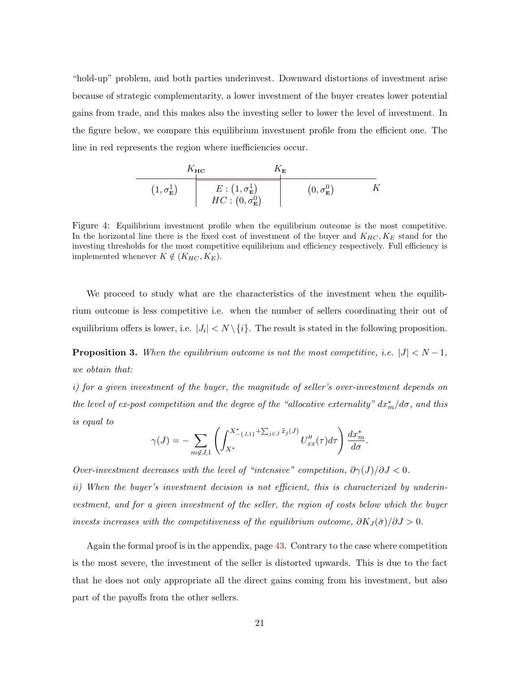"hold-up" problem, and both parties underinvest. Downward distortions of investment arise because of strategic complementarity, a lower investment of the buyer creates lower potential gains from trade, and this makes also the investing seller to lower the level of investment. In the figure below, we compare this equilibrium investment profile from the efficient one. The line in red represents the region where inefficiencies occur.

$$
\begin{array}{c|c}\n & K_{\mathbf{HC}} & K_{\mathbf{E}} \\
\hline\n(1, \sigma_{\mathbf{E}}^1) & E: (1, \sigma_{\mathbf{E}}^1) & (0, \sigma_{\mathbf{E}}^0) & K \\
 & HC: (0, \sigma_{\mathbf{E}}^0)\n\end{array}
$$

Figure 4: Equilibrium investment profile when the equilibrium outcome is the most competitive. In the horizontal line there is the fixed cost of investment of the buyer and  $K_{HC}$ ,  $K_E$  stand for the investing thresholds for the most competitive equilibrium and efficiency respectively. Full efficiency is implemented whenever  $K \notin (K_{HC}, K_E)$ .

We proceed to study what are the characteristics of the investment when the equilibrium outcome is less competitive i.e. when the number of sellers coordinating their out of equilibrium offers is lower, i.e.  $|J_i| < N \setminus \{i\}$ . The result is stated in the following proposition.

<span id="page-21-0"></span>**Proposition 3.** When the equilibrium outcome is not the most competitive, i.e.  $|J| < N - 1$ , we obtain that:

i) for a given investment of the buyer, the magnitude of seller's over-investment depends on the level of ex-post competition and the degree of the "allocative externality"  $dx_m^*/d\sigma$ , and this is equal to

$$
\gamma(J) = -\sum_{m \notin J, 1} \left( \int_{X^*}^{X^*_{-\{J, 1\}} + \sum_{j \in J} \tilde{x}_j(J)} U''_{xx}(\tau) d\tau \right) \frac{dx_m^*}{d\sigma}.
$$

Over-investment decreases with the level of "intensive" competition,  $\partial \gamma(J)/\partial J < 0$ .

ii) When the buyer's investment decision is not efficient, this is characterized by underinvestment, and for a given investment of the seller, the region of costs below which the buyer invests increases with the competitiveness of the equilibrium outcome,  $\partial K_J(\bar{\sigma})/\partial J > 0$ .

Again the formal proof is in the appendix, page [43.](#page-43-0) Contrary to the case where competition is the most severe, the investment of the seller is distorted upwards. This is due to the fact that he does not only appropriate all the direct gains coming from his investment, but also part of the payoffs from the other sellers.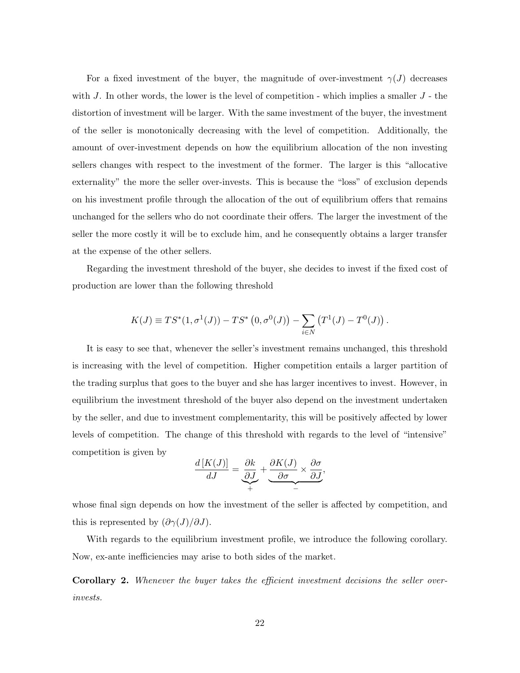For a fixed investment of the buyer, the magnitude of over-investment  $\gamma(J)$  decreases with  $J$ . In other words, the lower is the level of competition - which implies a smaller  $J$  - the distortion of investment will be larger. With the same investment of the buyer, the investment of the seller is monotonically decreasing with the level of competition. Additionally, the amount of over-investment depends on how the equilibrium allocation of the non investing sellers changes with respect to the investment of the former. The larger is this "allocative externality" the more the seller over-invests. This is because the "loss" of exclusion depends on his investment profile through the allocation of the out of equilibrium offers that remains unchanged for the sellers who do not coordinate their offers. The larger the investment of the seller the more costly it will be to exclude him, and he consequently obtains a larger transfer at the expense of the other sellers.

Regarding the investment threshold of the buyer, she decides to invest if the fixed cost of production are lower than the following threshold

$$
K(J) \equiv TS^*(1, \sigma^1(J)) - TS^*(0, \sigma^0(J)) - \sum_{i \in N} (T^1(J) - T^0(J)).
$$

It is easy to see that, whenever the seller's investment remains unchanged, this threshold is increasing with the level of competition. Higher competition entails a larger partition of the trading surplus that goes to the buyer and she has larger incentives to invest. However, in equilibrium the investment threshold of the buyer also depend on the investment undertaken by the seller, and due to investment complementarity, this will be positively affected by lower levels of competition. The change of this threshold with regards to the level of "intensive" competition is given by

$$
\frac{d\left[K(J)\right]}{dJ} = \underbrace{\frac{\partial k}{\partial J}}_{+} + \underbrace{\frac{\partial K(J)}{\partial \sigma} \times \frac{\partial \sigma}{\partial J}}_{-},
$$

whose final sign depends on how the investment of the seller is affected by competition, and this is represented by  $(\partial \gamma(J)/\partial J)$ .

With regards to the equilibrium investment profile, we introduce the following corollary. Now, ex-ante inefficiencies may arise to both sides of the market.

<span id="page-22-0"></span>Corollary 2. Whenever the buyer takes the efficient investment decisions the seller overinvests.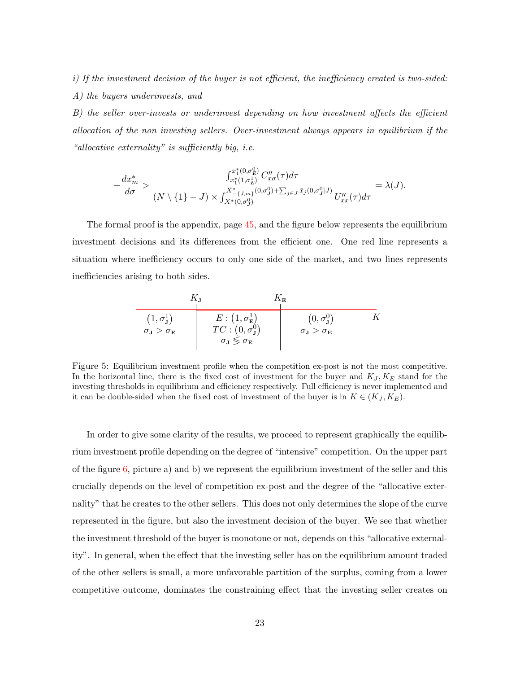i) If the investment decision of the buyer is not efficient, the inefficiency created is two-sided: A) the buyers underinvests, and

B) the seller over-invests or underinvest depending on how investment affects the efficient allocation of the non investing sellers. Over-investment always appears in equilibrium if the "allocative externality" is sufficiently big, i.e.

$$
-\frac{dx_m^*}{d\sigma} > \frac{\int_{x_1^*(1,\sigma_B^1)}^{x_1^*(0,\sigma_B^0)} C_{x\sigma}''(\tau) d\tau}{(N \setminus \{1\} - J) \times \int_{X^*(0,\sigma_J^0)}^{X^*_{- \{J,m\}}(0,\sigma_J^0) + \sum_{j \in J} \tilde{x}_j(0,\sigma_J^0|J)} U_{xx}''(\tau) d\tau} = \lambda(J).
$$

The formal proof is the appendix, page [45,](#page-45-0) and the figure below represents the equilibrium investment decisions and its differences from the efficient one. One red line represents a situation where inefficiency occurs to only one side of the market, and two lines represents inefficiencies arising to both sides.

$$
\begin{array}{c|c}\n & K_{\mathbf{J}} & K_{\mathbf{E}} \\
\hline\n(1, \sigma_{\mathbf{J}}^1) & E: (1, \sigma_{\mathbf{E}}^1) & (0, \sigma_{\mathbf{J}}^0) & K \\
\sigma_{\mathbf{J}} > \sigma_{\mathbf{E}} & TC: (0, \sigma_{\mathbf{J}}^0) & \sigma_{\mathbf{J}} > \sigma_{\mathbf{E}} \\
\hline\n\sigma_{\mathbf{J}} > \sigma_{\mathbf{E}} & & \sigma_{\mathbf{J}} > \sigma_{\mathbf{E}}\n\end{array}
$$

Figure 5: Equilibrium investment profile when the competition ex-post is not the most competitive. In the horizontal line, there is the fixed cost of investment for the buyer and  $K_J, K_E$  stand for the investing thresholds in equilibrium and efficiency respectively. Full efficiency is never implemented and it can be double-sided when the fixed cost of investment of the buyer is in  $K \in (K_J, K_E)$ .

In order to give some clarity of the results, we proceed to represent graphically the equilibrium investment profile depending on the degree of "intensive" competition. On the upper part of the figure  $6$ , picture a) and b) we represent the equilibrium investment of the seller and this crucially depends on the level of competition ex-post and the degree of the "allocative externality" that he creates to the other sellers. This does not only determines the slope of the curve represented in the figure, but also the investment decision of the buyer. We see that whether the investment threshold of the buyer is monotone or not, depends on this "allocative externality". In general, when the effect that the investing seller has on the equilibrium amount traded of the other sellers is small, a more unfavorable partition of the surplus, coming from a lower competitive outcome, dominates the constraining effect that the investing seller creates on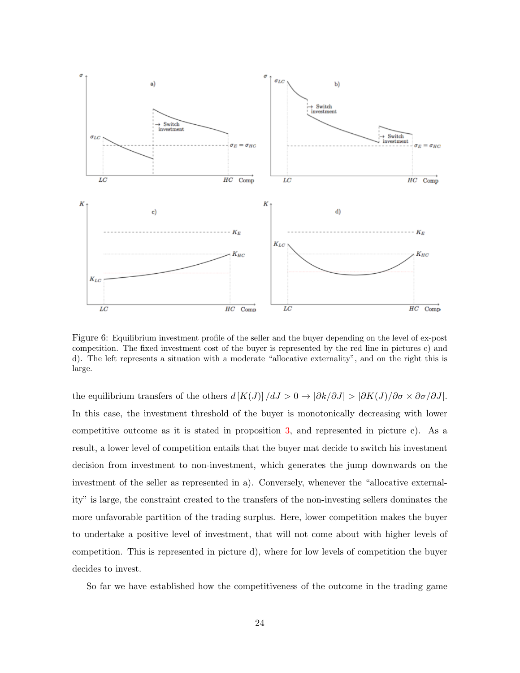

<span id="page-24-0"></span>Figure 6: Equilibrium investment profile of the seller and the buyer depending on the level of ex-post competition. The fixed investment cost of the buyer is represented by the red line in pictures c) and d). The left represents a situation with a moderate "allocative externality", and on the right this is large.

the equilibrium transfers of the others  $d [K(J)]/dJ > 0 \rightarrow |\partial k/\partial J| > |\partial K(J)/\partial \sigma \times \partial \sigma/\partial J|$ . In this case, the investment threshold of the buyer is monotonically decreasing with lower competitive outcome as it is stated in proposition [3,](#page-21-0) and represented in picture c). As a result, a lower level of competition entails that the buyer mat decide to switch his investment decision from investment to non-investment, which generates the jump downwards on the investment of the seller as represented in a). Conversely, whenever the "allocative externality" is large, the constraint created to the transfers of the non-investing sellers dominates the more unfavorable partition of the trading surplus. Here, lower competition makes the buyer to undertake a positive level of investment, that will not come about with higher levels of competition. This is represented in picture d), where for low levels of competition the buyer decides to invest.

So far we have established how the competitiveness of the outcome in the trading game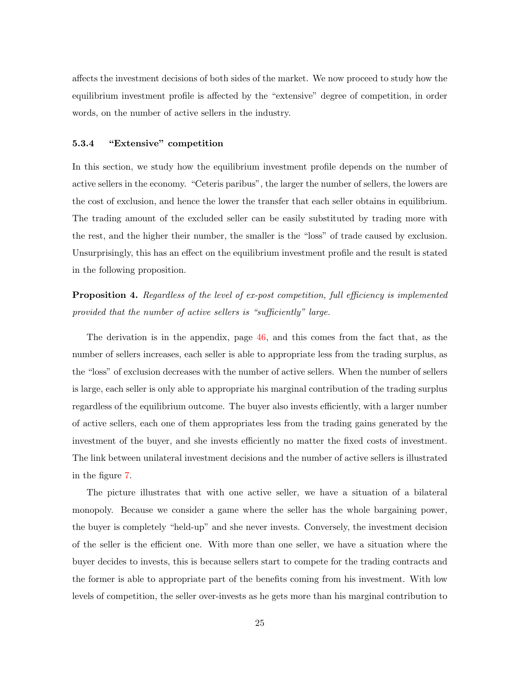affects the investment decisions of both sides of the market. We now proceed to study how the equilibrium investment profile is affected by the "extensive" degree of competition, in order words, on the number of active sellers in the industry.

#### 5.3.4 "Extensive" competition

In this section, we study how the equilibrium investment profile depends on the number of active sellers in the economy. "Ceteris paribus", the larger the number of sellers, the lowers are the cost of exclusion, and hence the lower the transfer that each seller obtains in equilibrium. The trading amount of the excluded seller can be easily substituted by trading more with the rest, and the higher their number, the smaller is the "loss" of trade caused by exclusion. Unsurprisingly, this has an effect on the equilibrium investment profile and the result is stated in the following proposition.

<span id="page-25-0"></span>**Proposition 4.** Regardless of the level of ex-post competition, full efficiency is implemented provided that the number of active sellers is "sufficiently" large.

The derivation is in the appendix, page [46,](#page-46-0) and this comes from the fact that, as the number of sellers increases, each seller is able to appropriate less from the trading surplus, as the "loss" of exclusion decreases with the number of active sellers. When the number of sellers is large, each seller is only able to appropriate his marginal contribution of the trading surplus regardless of the equilibrium outcome. The buyer also invests efficiently, with a larger number of active sellers, each one of them appropriates less from the trading gains generated by the investment of the buyer, and she invests efficiently no matter the fixed costs of investment. The link between unilateral investment decisions and the number of active sellers is illustrated in the figure [7.](#page-26-1)

The picture illustrates that with one active seller, we have a situation of a bilateral monopoly. Because we consider a game where the seller has the whole bargaining power, the buyer is completely "held-up" and she never invests. Conversely, the investment decision of the seller is the efficient one. With more than one seller, we have a situation where the buyer decides to invests, this is because sellers start to compete for the trading contracts and the former is able to appropriate part of the benefits coming from his investment. With low levels of competition, the seller over-invests as he gets more than his marginal contribution to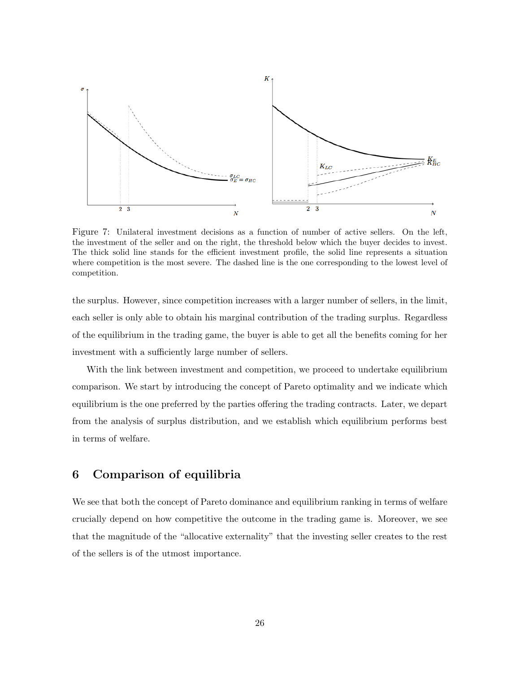

<span id="page-26-1"></span>Figure 7: Unilateral investment decisions as a function of number of active sellers. On the left, the investment of the seller and on the right, the threshold below which the buyer decides to invest. The thick solid line stands for the efficient investment profile, the solid line represents a situation where competition is the most severe. The dashed line is the one corresponding to the lowest level of competition.

the surplus. However, since competition increases with a larger number of sellers, in the limit, each seller is only able to obtain his marginal contribution of the trading surplus. Regardless of the equilibrium in the trading game, the buyer is able to get all the benefits coming for her investment with a sufficiently large number of sellers.

With the link between investment and competition, we proceed to undertake equilibrium comparison. We start by introducing the concept of Pareto optimality and we indicate which equilibrium is the one preferred by the parties offering the trading contracts. Later, we depart from the analysis of surplus distribution, and we establish which equilibrium performs best in terms of welfare.

## <span id="page-26-0"></span>6 Comparison of equilibria

We see that both the concept of Pareto dominance and equilibrium ranking in terms of welfare crucially depend on how competitive the outcome in the trading game is. Moreover, we see that the magnitude of the "allocative externality" that the investing seller creates to the rest of the sellers is of the utmost importance.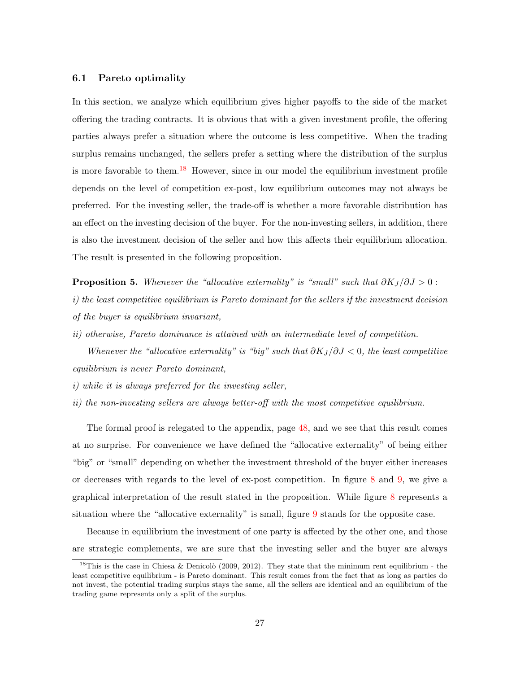#### 6.1 Pareto optimality

In this section, we analyze which equilibrium gives higher payoffs to the side of the market offering the trading contracts. It is obvious that with a given investment profile, the offering parties always prefer a situation where the outcome is less competitive. When the trading surplus remains unchanged, the sellers prefer a setting where the distribution of the surplus is more favorable to them.<sup>[18](#page-1-0)</sup> However, since in our model the equilibrium investment profile depends on the level of competition ex-post, low equilibrium outcomes may not always be preferred. For the investing seller, the trade-off is whether a more favorable distribution has an effect on the investing decision of the buyer. For the non-investing sellers, in addition, there is also the investment decision of the seller and how this affects their equilibrium allocation. The result is presented in the following proposition.

<span id="page-27-0"></span>**Proposition 5.** Whenever the "allocative externality" is "small" such that  $\partial K_I/\partial J > 0$ : i) the least competitive equilibrium is Pareto dominant for the sellers if the investment decision of the buyer is equilibrium invariant,

ii) otherwise, Pareto dominance is attained with an intermediate level of competition.

Whenever the "allocative externality" is "big" such that  $\partial K_I/\partial J < 0$ , the least competitive equilibrium is never Pareto dominant,

- i) while it is always preferred for the investing seller,
- ii) the non-investing sellers are always better-off with the most competitive equilibrium.

The formal proof is relegated to the appendix, page [48,](#page-48-0) and we see that this result comes at no surprise. For convenience we have defined the "allocative externality" of being either "big" or "small" depending on whether the investment threshold of the buyer either increases or decreases with regards to the level of ex-post competition. In figure [8](#page-28-0) and [9,](#page-29-0) we give a graphical interpretation of the result stated in the proposition. While figure [8](#page-28-0) represents a situation where the "allocative externality" is small, figure [9](#page-29-0) stands for the opposite case.

Because in equilibrium the investment of one party is affected by the other one, and those are strategic complements, we are sure that the investing seller and the buyer are always

<sup>&</sup>lt;sup>18</sup>This is the case in Chiesa & Denicolò (2009, 2012). They state that the minimum rent equilibrium - the least competitive equilibrium - is Pareto dominant. This result comes from the fact that as long as parties do not invest, the potential trading surplus stays the same, all the sellers are identical and an equilibrium of the trading game represents only a split of the surplus.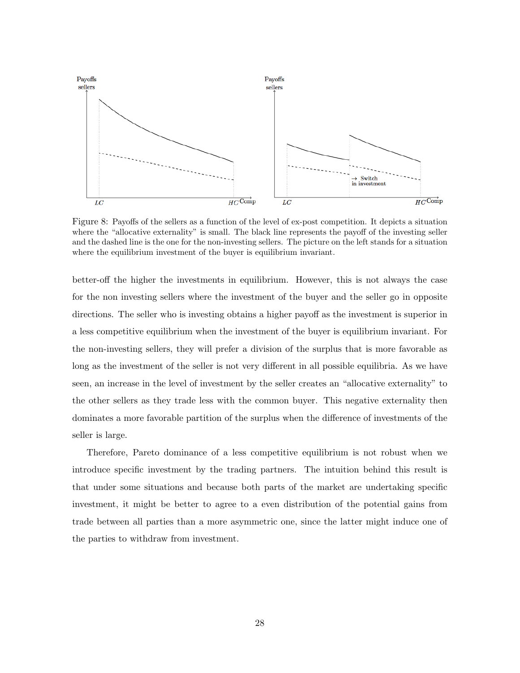

<span id="page-28-0"></span>Figure 8: Payoffs of the sellers as a function of the level of ex-post competition. It depicts a situation where the "allocative externality" is small. The black line represents the payoff of the investing seller and the dashed line is the one for the non-investing sellers. The picture on the left stands for a situation where the equilibrium investment of the buyer is equilibrium invariant.

better-off the higher the investments in equilibrium. However, this is not always the case for the non investing sellers where the investment of the buyer and the seller go in opposite directions. The seller who is investing obtains a higher payoff as the investment is superior in a less competitive equilibrium when the investment of the buyer is equilibrium invariant. For the non-investing sellers, they will prefer a division of the surplus that is more favorable as long as the investment of the seller is not very different in all possible equilibria. As we have seen, an increase in the level of investment by the seller creates an "allocative externality" to the other sellers as they trade less with the common buyer. This negative externality then dominates a more favorable partition of the surplus when the difference of investments of the seller is large.

Therefore, Pareto dominance of a less competitive equilibrium is not robust when we introduce specific investment by the trading partners. The intuition behind this result is that under some situations and because both parts of the market are undertaking specific investment, it might be better to agree to a even distribution of the potential gains from trade between all parties than a more asymmetric one, since the latter might induce one of the parties to withdraw from investment.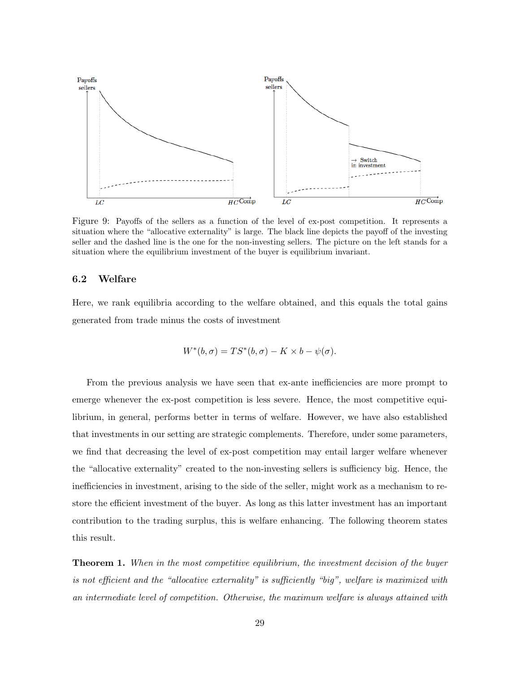

<span id="page-29-0"></span>Figure 9: Payoffs of the sellers as a function of the level of ex-post competition. It represents a situation where the "allocative externality" is large. The black line depicts the payoff of the investing seller and the dashed line is the one for the non-investing sellers. The picture on the left stands for a situation where the equilibrium investment of the buyer is equilibrium invariant.

#### 6.2 Welfare

Here, we rank equilibria according to the welfare obtained, and this equals the total gains generated from trade minus the costs of investment

$$
W^*(b, \sigma) = TS^*(b, \sigma) - K \times b - \psi(\sigma).
$$

From the previous analysis we have seen that ex-ante inefficiencies are more prompt to emerge whenever the ex-post competition is less severe. Hence, the most competitive equilibrium, in general, performs better in terms of welfare. However, we have also established that investments in our setting are strategic complements. Therefore, under some parameters, we find that decreasing the level of ex-post competition may entail larger welfare whenever the "allocative externality" created to the non-investing sellers is sufficiency big. Hence, the inefficiencies in investment, arising to the side of the seller, might work as a mechanism to restore the efficient investment of the buyer. As long as this latter investment has an important contribution to the trading surplus, this is welfare enhancing. The following theorem states this result.

<span id="page-29-1"></span>**Theorem 1.** When in the most competitive equilibrium, the investment decision of the buyer is not efficient and the "allocative externality" is sufficiently "big", welfare is maximized with an intermediate level of competition. Otherwise, the maximum welfare is always attained with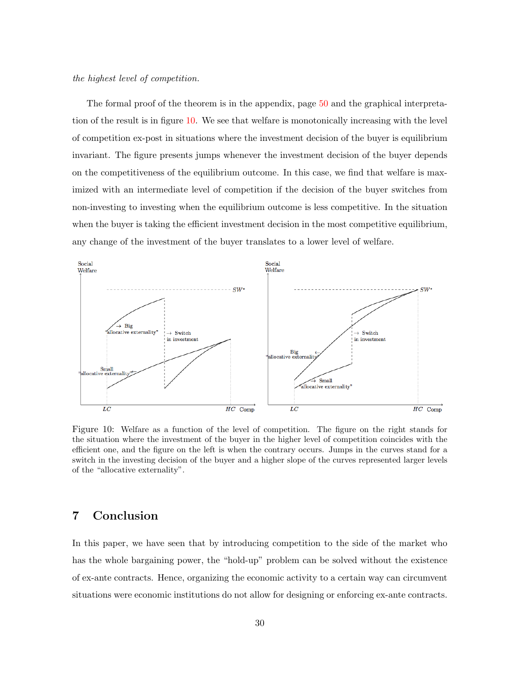the highest level of competition.

The formal proof of the theorem is in the appendix, page [50](#page-50-0) and the graphical interpretation of the result is in figure [10.](#page-30-1) We see that welfare is monotonically increasing with the level of competition ex-post in situations where the investment decision of the buyer is equilibrium invariant. The figure presents jumps whenever the investment decision of the buyer depends on the competitiveness of the equilibrium outcome. In this case, we find that welfare is maximized with an intermediate level of competition if the decision of the buyer switches from non-investing to investing when the equilibrium outcome is less competitive. In the situation when the buyer is taking the efficient investment decision in the most competitive equilibrium, any change of the investment of the buyer translates to a lower level of welfare.



<span id="page-30-1"></span>Figure 10: Welfare as a function of the level of competition. The figure on the right stands for the situation where the investment of the buyer in the higher level of competition coincides with the efficient one, and the figure on the left is when the contrary occurs. Jumps in the curves stand for a switch in the investing decision of the buyer and a higher slope of the curves represented larger levels of the "allocative externality".

# <span id="page-30-0"></span>7 Conclusion

In this paper, we have seen that by introducing competition to the side of the market who has the whole bargaining power, the "hold-up" problem can be solved without the existence of ex-ante contracts. Hence, organizing the economic activity to a certain way can circumvent situations were economic institutions do not allow for designing or enforcing ex-ante contracts.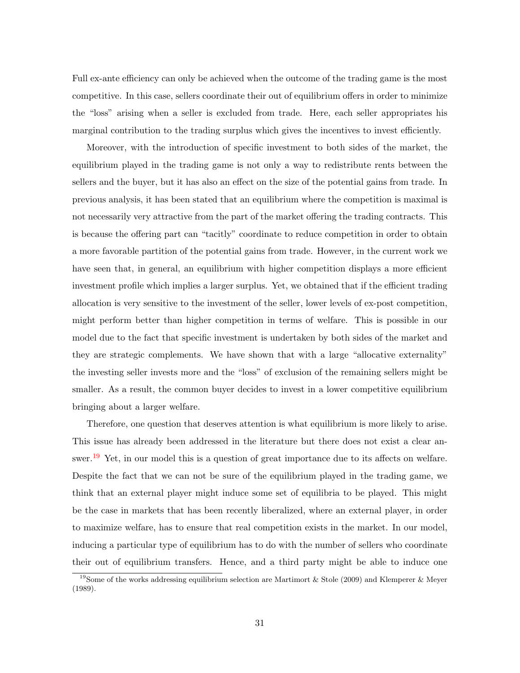Full ex-ante efficiency can only be achieved when the outcome of the trading game is the most competitive. In this case, sellers coordinate their out of equilibrium offers in order to minimize the "loss" arising when a seller is excluded from trade. Here, each seller appropriates his marginal contribution to the trading surplus which gives the incentives to invest efficiently.

Moreover, with the introduction of specific investment to both sides of the market, the equilibrium played in the trading game is not only a way to redistribute rents between the sellers and the buyer, but it has also an effect on the size of the potential gains from trade. In previous analysis, it has been stated that an equilibrium where the competition is maximal is not necessarily very attractive from the part of the market offering the trading contracts. This is because the offering part can "tacitly" coordinate to reduce competition in order to obtain a more favorable partition of the potential gains from trade. However, in the current work we have seen that, in general, an equilibrium with higher competition displays a more efficient investment profile which implies a larger surplus. Yet, we obtained that if the efficient trading allocation is very sensitive to the investment of the seller, lower levels of ex-post competition, might perform better than higher competition in terms of welfare. This is possible in our model due to the fact that specific investment is undertaken by both sides of the market and they are strategic complements. We have shown that with a large "allocative externality" the investing seller invests more and the "loss" of exclusion of the remaining sellers might be smaller. As a result, the common buyer decides to invest in a lower competitive equilibrium bringing about a larger welfare.

Therefore, one question that deserves attention is what equilibrium is more likely to arise. This issue has already been addressed in the literature but there does not exist a clear an-swer.<sup>[19](#page-1-0)</sup> Yet, in our model this is a question of great importance due to its affects on welfare. Despite the fact that we can not be sure of the equilibrium played in the trading game, we think that an external player might induce some set of equilibria to be played. This might be the case in markets that has been recently liberalized, where an external player, in order to maximize welfare, has to ensure that real competition exists in the market. In our model, inducing a particular type of equilibrium has to do with the number of sellers who coordinate their out of equilibrium transfers. Hence, and a third party might be able to induce one

<sup>&</sup>lt;sup>19</sup>Some of the works addressing equilibrium selection are Martimort & Stole (2009) and Klemperer & Meyer (1989).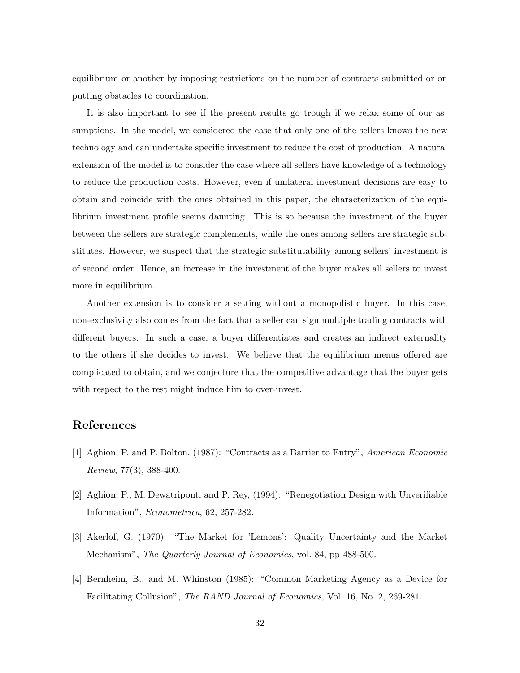equilibrium or another by imposing restrictions on the number of contracts submitted or on putting obstacles to coordination.

It is also important to see if the present results go trough if we relax some of our assumptions. In the model, we considered the case that only one of the sellers knows the new technology and can undertake specific investment to reduce the cost of production. A natural extension of the model is to consider the case where all sellers have knowledge of a technology to reduce the production costs. However, even if unilateral investment decisions are easy to obtain and coincide with the ones obtained in this paper, the characterization of the equilibrium investment profile seems daunting. This is so because the investment of the buyer between the sellers are strategic complements, while the ones among sellers are strategic substitutes. However, we suspect that the strategic substitutability among sellers' investment is of second order. Hence, an increase in the investment of the buyer makes all sellers to invest more in equilibrium.

Another extension is to consider a setting without a monopolistic buyer. In this case, non-exclusivity also comes from the fact that a seller can sign multiple trading contracts with different buyers. In such a case, a buyer differentiates and creates an indirect externality to the others if she decides to invest. We believe that the equilibrium menus offered are complicated to obtain, and we conjecture that the competitive advantage that the buyer gets with respect to the rest might induce him to over-invest.

## References

- [1] Aghion, P. and P. Bolton. (1987): "Contracts as a Barrier to Entry", American Economic Review, 77(3), 388-400.
- [2] Aghion, P., M. Dewatripont, and P. Rey, (1994): "Renegotiation Design with Unverifiable Information", Econometrica, 62, 257-282.
- [3] Akerlof, G. (1970): "The Market for 'Lemons': Quality Uncertainty and the Market Mechanism", *The Quarterly Journal of Economics*, vol. 84, pp 488-500.
- [4] Bernheim, B., and M. Whinston (1985): "Common Marketing Agency as a Device for Facilitating Collusion", The RAND Journal of Economics, Vol. 16, No. 2, 269-281.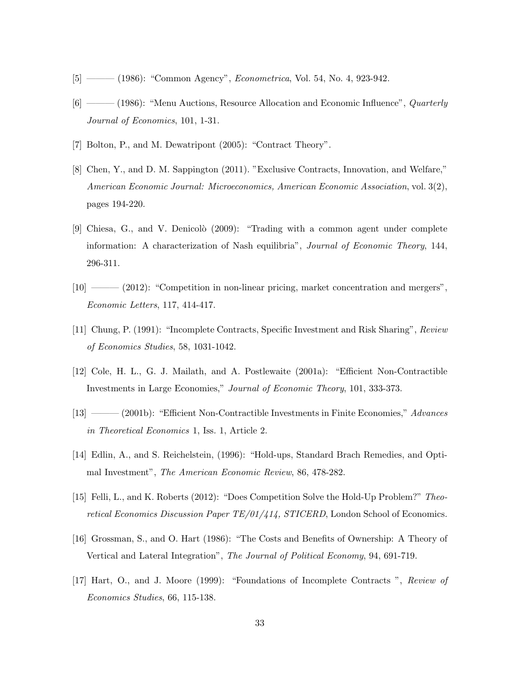- [5] ——— (1986): "Common Agency", Econometrica, Vol. 54, No. 4, 923-942.
- [6] ——— (1986): "Menu Auctions, Resource Allocation and Economic Influence", *Quarterly* Journal of Economics, 101, 1-31.
- [7] Bolton, P., and M. Dewatripont (2005): "Contract Theory".
- [8] Chen, Y., and D. M. Sappington (2011). "Exclusive Contracts, Innovation, and Welfare," American Economic Journal: Microeconomics, American Economic Association, vol. 3(2), pages 194-220.
- [9] Chiesa, G., and V. Denicolò (2009): "Trading with a common agent under complete information: A characterization of Nash equilibria", Journal of Economic Theory, 144, 296-311.
- [10] ——— (2012): "Competition in non-linear pricing, market concentration and mergers", Economic Letters, 117, 414-417.
- [11] Chung, P. (1991): "Incomplete Contracts, Specific Investment and Risk Sharing", Review of Economics Studies, 58, 1031-1042.
- [12] Cole, H. L., G. J. Mailath, and A. Postlewaite (2001a): "Efficient Non-Contractible Investments in Large Economies," Journal of Economic Theory, 101, 333-373.
- [13] ——— (2001b): "Efficient Non-Contractible Investments in Finite Economies," Advances in Theoretical Economics 1, Iss. 1, Article 2.
- [14] Edlin, A., and S. Reichelstein, (1996): "Hold-ups, Standard Brach Remedies, and Optimal Investment", The American Economic Review, 86, 478-282.
- [15] Felli, L., and K. Roberts (2012): "Does Competition Solve the Hold-Up Problem?" Theoretical Economics Discussion Paper TE/01/414, STICERD, London School of Economics.
- [16] Grossman, S., and O. Hart (1986): "The Costs and Benefits of Ownership: A Theory of Vertical and Lateral Integration", The Journal of Political Economy, 94, 691-719.
- [17] Hart, O., and J. Moore (1999): "Foundations of Incomplete Contracts ", Review of Economics Studies, 66, 115-138.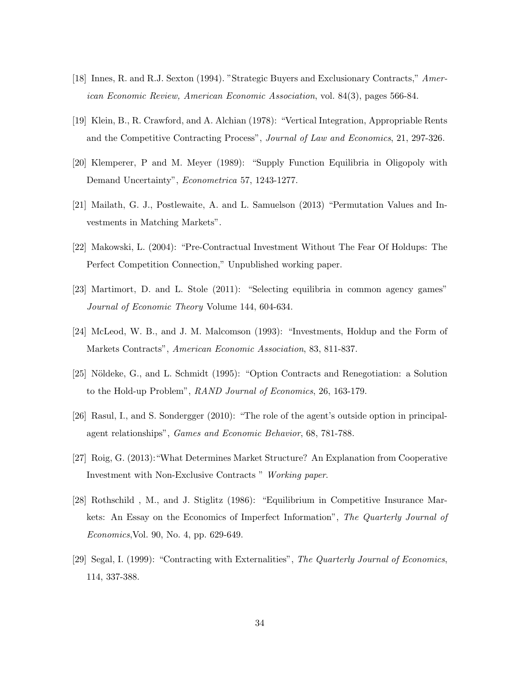- [18] Innes, R. and R.J. Sexton (1994). "Strategic Buyers and Exclusionary Contracts," American Economic Review, American Economic Association, vol. 84(3), pages 566-84.
- [19] Klein, B., R. Crawford, and A. Alchian (1978): "Vertical Integration, Appropriable Rents and the Competitive Contracting Process", Journal of Law and Economics, 21, 297-326.
- [20] Klemperer, P and M. Meyer (1989): "Supply Function Equilibria in Oligopoly with Demand Uncertainty", Econometrica 57, 1243-1277.
- [21] Mailath, G. J., Postlewaite, A. and L. Samuelson (2013) "Permutation Values and Investments in Matching Markets".
- [22] Makowski, L. (2004): "Pre-Contractual Investment Without The Fear Of Holdups: The Perfect Competition Connection," Unpublished working paper.
- [23] Martimort, D. and L. Stole (2011): "Selecting equilibria in common agency games" Journal of Economic Theory Volume 144, 604-634.
- [24] McLeod, W. B., and J. M. Malcomson (1993): "Investments, Holdup and the Form of Markets Contracts", American Economic Association, 83, 811-837.
- [25] Nöldeke, G., and L. Schmidt (1995): "Option Contracts and Renegotiation: a Solution to the Hold-up Problem", RAND Journal of Economics, 26, 163-179.
- [26] Rasul, I., and S. Sondergger (2010): "The role of the agent's outside option in principalagent relationships", Games and Economic Behavior, 68, 781-788.
- [27] Roig, G. (2013):"What Determines Market Structure? An Explanation from Cooperative Investment with Non-Exclusive Contracts " Working paper.
- [28] Rothschild , M., and J. Stiglitz (1986): "Equilibrium in Competitive Insurance Markets: An Essay on the Economics of Imperfect Information", The Quarterly Journal of Economics,Vol. 90, No. 4, pp. 629-649.
- [29] Segal, I. (1999): "Contracting with Externalities", The Quarterly Journal of Economics, 114, 337-388.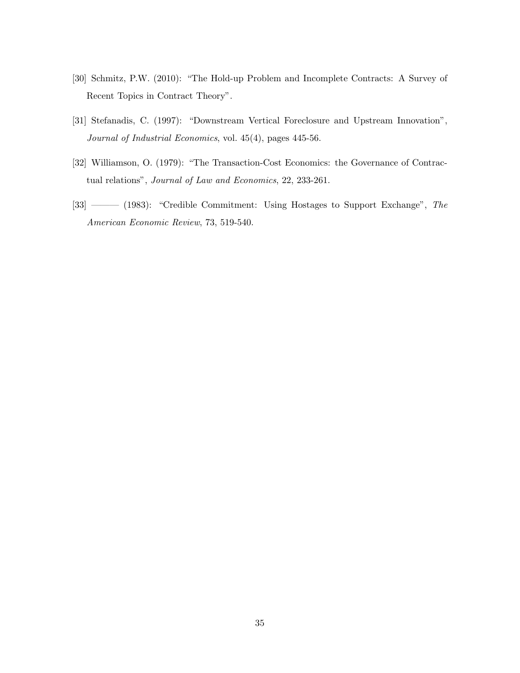- [30] Schmitz, P.W. (2010): "The Hold-up Problem and Incomplete Contracts: A Survey of Recent Topics in Contract Theory".
- [31] Stefanadis, C. (1997): "Downstream Vertical Foreclosure and Upstream Innovation", Journal of Industrial Economics, vol. 45(4), pages 445-56.
- [32] Williamson, O. (1979): "The Transaction-Cost Economics: the Governance of Contractual relations", Journal of Law and Economics, 22, 233-261.
- [33] ——— (1983): "Credible Commitment: Using Hostages to Support Exchange", The American Economic Review, 73, 519-540.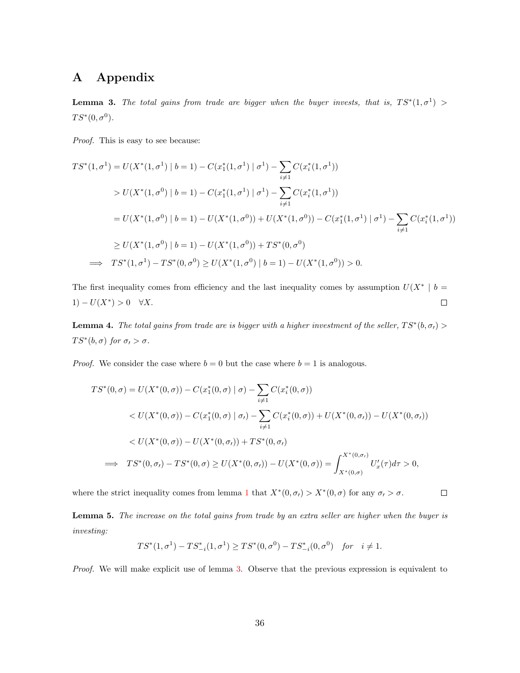# <span id="page-36-2"></span>A Appendix

<span id="page-36-0"></span>**Lemma 3.** The total gains from trade are bigger when the buyer invests, that is,  $TS^*(1, \sigma^1)$  >  $TS^*(0, \sigma^0)$ .

Proof. This is easy to see because:

$$
TS^{*}(1, \sigma^{1}) = U(X^{*}(1, \sigma^{1}) | b = 1) - C(x_{1}^{*}(1, \sigma^{1}) | \sigma^{1}) - \sum_{i \neq 1} C(x_{i}^{*}(1, \sigma^{1}))
$$
  
>  $U(X^{*}(1, \sigma^{0}) | b = 1) - C(x_{1}^{*}(1, \sigma^{1}) | \sigma^{1}) - \sum_{i \neq 1} C(x_{i}^{*}(1, \sigma^{1}))$   
=  $U(X^{*}(1, \sigma^{0}) | b = 1) - U(X^{*}(1, \sigma^{0})) + U(X^{*}(1, \sigma^{0})) - C(x_{1}^{*}(1, \sigma^{1}) | \sigma^{1}) - \sum_{i \neq 1} C(x_{i}^{*}(1, \sigma^{1}))$   
 $\geq U(X^{*}(1, \sigma^{0}) | b = 1) - U(X^{*}(1, \sigma^{0})) + TS^{*}(0, \sigma^{0})$   
 $\implies TS^{*}(1, \sigma^{1}) - TS^{*}(0, \sigma^{0}) \geq U(X^{*}(1, \sigma^{0}) | b = 1) - U(X^{*}(1, \sigma^{0})) > 0.$ 

The first inequality comes from efficiency and the last inequality comes by assumption  $U(X^*)$  b =  $1)-U(X^*)>0 \quad \forall X.$  $\Box$ 

**Lemma 4.** The total gains from trade are is bigger with a higher investment of the seller,  $TS^*(b, \sigma) >$  $TS^*(b, \sigma)$  for  $\sigma_t > \sigma$ .

*Proof.* We consider the case where  $b = 0$  but the case where  $b = 1$  is analogous.

$$
TS^*(0, \sigma) = U(X^*(0, \sigma)) - C(x_1^*(0, \sigma) | \sigma) - \sum_{i \neq 1} C(x_i^*(0, \sigma))
$$
  

$$
< U(X^*(0, \sigma)) - C(x_1^*(0, \sigma) | \sigma) - \sum_{i \neq 1} C(x_i^*(0, \sigma)) + U(X^*(0, \sigma)) - U(X^*(0, \sigma))
$$
  

$$
< U(X^*(0, \sigma)) - U(X^*(0, \sigma)) + TS^*(0, \sigma)
$$
  

$$
\implies TS^*(0, \sigma) - TS^*(0, \sigma) \ge U(X^*(0, \sigma)) - U(X^*(0, \sigma)) = \int_{X^*(0, \sigma)}^{X^*(0, \sigma)} U_x'(\tau) d\tau > 0,
$$

where the strict inequality comes from lemma [1](#page-13-1) that  $X^*(0, \sigma) > X^*(0, \sigma)$  for any  $\sigma$ ,  $> \sigma$ .

 $\Box$ 

<span id="page-36-1"></span>Lemma 5. The increase on the total gains from trade by an extra seller are higher when the buyer is investing:

$$
TS^*(1, \sigma^1) - TS^*_{-i}(1, \sigma^1) \ge TS^*(0, \sigma^0) - TS^*_{-i}(0, \sigma^0) \quad \text{for} \quad i \ne 1.
$$

Proof. We will make explicit use of lemma [3.](#page-36-0) Observe that the previous expression is equivalent to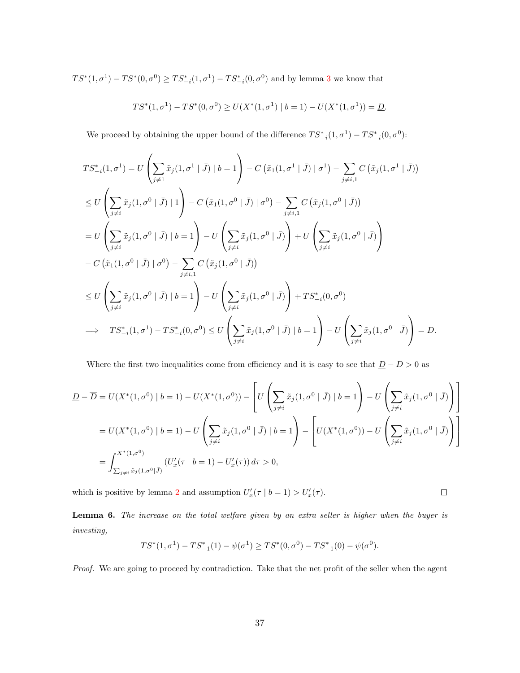$TS^*(1, \sigma^1) - TS^*(0, \sigma^0) \geq TS^*_{-i}(1, \sigma^1) - TS^*_{-i}(0, \sigma^0)$  and by lemma [3](#page-36-0) we know that

$$
TS^*(1, \sigma^1) - TS^*(0, \sigma^0) \ge U(X^*(1, \sigma^1) \mid b = 1) - U(X^*(1, \sigma^1)) = \underline{D}.
$$

We proceed by obtaining the upper bound of the difference  $TS_{-i}^*(1, \sigma^1) - TS_{-i}^*(0, \sigma^0)$ :

$$
TS_{-i}^{*}(1, \sigma^{1}) = U\left(\sum_{j\neq 1} \tilde{x}_{j}(1, \sigma^{1} | \bar{J}) | b = 1\right) - C\left(\tilde{x}_{1}(1, \sigma^{1} | \bar{J}) | \sigma^{1}\right) - \sum_{j\neq i, 1} C\left(\tilde{x}_{j}(1, \sigma^{1} | \bar{J})\right)
$$
  
\n
$$
\leq U\left(\sum_{j\neq i} \tilde{x}_{j}(1, \sigma^{0} | \bar{J}) | 1\right) - C\left(\tilde{x}_{1}(1, \sigma^{0} | \bar{J}) | \sigma^{0}\right) - \sum_{j\neq i, 1} C\left(\tilde{x}_{j}(1, \sigma^{0} | \bar{J})\right)
$$
  
\n
$$
= U\left(\sum_{j\neq i} \tilde{x}_{j}(1, \sigma^{0} | \bar{J}) | b = 1\right) - U\left(\sum_{j\neq i} \tilde{x}_{j}(1, \sigma^{0} | \bar{J})\right) + U\left(\sum_{j\neq i} \tilde{x}_{j}(1, \sigma^{0} | \bar{J})\right)
$$
  
\n
$$
- C\left(\tilde{x}_{1}(1, \sigma^{0} | \bar{J}) | \sigma^{0}\right) - \sum_{j\neq i, 1} C\left(\tilde{x}_{j}(1, \sigma^{0} | \bar{J})\right)
$$
  
\n
$$
\leq U\left(\sum_{j\neq i} \tilde{x}_{j}(1, \sigma^{0} | \bar{J}) | b = 1\right) - U\left(\sum_{j\neq i} \tilde{x}_{j}(1, \sigma^{0} | \bar{J})\right) + TS_{-i}^{*}(0, \sigma^{0})
$$
  
\n
$$
\implies TS_{-i}^{*}(1, \sigma^{1}) - TS_{-i}^{*}(0, \sigma^{0}) \leq U\left(\sum_{j\neq i} \tilde{x}_{j}(1, \sigma^{0} | \bar{J}) | b = 1\right) - U\left(\sum_{j\neq i} \tilde{x}_{j}(1, \sigma^{0} | \bar{J})\right) = \overline{D}.
$$

Where the first two inequalities come from efficiency and it is easy to see that  $\underline{D} - \overline{D} > 0$  as

$$
\underline{D} - \overline{D} = U(X^*(1, \sigma^0) \mid b = 1) - U(X^*(1, \sigma^0)) - \left[ U\left(\sum_{j \neq i} \tilde{x}_j(1, \sigma^0 \mid \overline{J}) \mid b = 1 \right) - U\left(\sum_{j \neq i} \tilde{x}_j(1, \sigma^0 \mid \overline{J})\right) \right]
$$
\n
$$
= U(X^*(1, \sigma^0) \mid b = 1) - U\left(\sum_{j \neq i} \tilde{x}_j(1, \sigma^0 \mid \overline{J}) \mid b = 1 \right) - \left[ U(X^*(1, \sigma^0)) - U\left(\sum_{j \neq i} \tilde{x}_j(1, \sigma^0 \mid \overline{J})\right) \right]
$$
\n
$$
= \int_{\sum_{j \neq i} \tilde{x}_j(1, \sigma^0 \mid \overline{J})}^{X^*(1, \sigma^0)} (U_x'(\tau \mid b = 1) - U_x'(\tau)) d\tau > 0,
$$

which is positive by lemma [2](#page-16-0) and assumption  $U'_x(\tau | b = 1) > U'_x(\tau)$ .

 $\Box$ 

<span id="page-37-0"></span>Lemma 6. The increase on the total welfare given by an extra seller is higher when the buyer is investing,

$$
TS^*(1, \sigma^1) - TS^*_{-1}(1) - \psi(\sigma^1) \ge TS^*(0, \sigma^0) - TS^*_{-1}(0) - \psi(\sigma^0).
$$

Proof. We are going to proceed by contradiction. Take that the net profit of the seller when the agent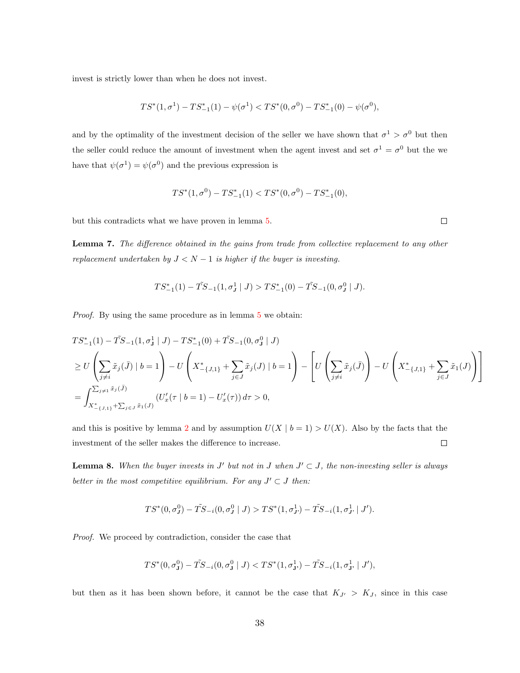invest is strictly lower than when he does not invest.

$$
TS^*(1, \sigma^1) - TS^*_{-1}(1) - \psi(\sigma^1) < TS^*(0, \sigma^0) - TS^*_{-1}(0) - \psi(\sigma^0),
$$

and by the optimality of the investment decision of the seller we have shown that  $\sigma^1 > \sigma^0$  but then the seller could reduce the amount of investment when the agent invest and set  $\sigma^1 = \sigma^0$  but the we have that  $\psi(\sigma^1) = \psi(\sigma^0)$  and the previous expression is

$$
TS^*(1,\sigma^0)-TS^*_{-1}(1) < TS^*(0,\sigma^0)-TS^*_{-1}(0),
$$

but this contradicts what we have proven in lemma [5.](#page-36-1)

<span id="page-38-0"></span>Lemma 7. The difference obtained in the gains from trade from collective replacement to any other replacement undertaken by  $J < N - 1$  is higher if the buyer is investing.

$$
TS_{-1}^*(1) - \tilde{TS}_{-1}(1, \sigma_J^1 \mid J) > TS_{-1}^*(0) - \tilde{TS}_{-1}(0, \sigma_J^0 \mid J).
$$

Proof. By using the same procedure as in lemma [5](#page-36-1) we obtain:

$$
TS_{-1}^{*}(1) - \tilde{TS}_{-1}(1, \sigma_{J}^{1} | J) - TS_{-1}^{*}(0) + \tilde{TS}_{-1}(0, \sigma_{J}^{0} | J)
$$
  
\n
$$
\geq U \left( \sum_{j \neq i} \tilde{x}_{j}(\bar{J}) | b = 1 \right) - U \left( X_{-\{J,1\}}^{*} + \sum_{j \in J} \tilde{x}_{j}(J) | b = 1 \right) - \left[ U \left( \sum_{j \neq i} \tilde{x}_{j}(\bar{J}) \right) - U \left( X_{-\{J,1\}}^{*} + \sum_{j \in J} \tilde{x}_{1}(J) \right) \right]
$$
  
\n
$$
= \int_{X_{-\{J,1\}}^{*} + \sum_{j \in J} \tilde{x}_{1}(J)} (U_{x}'(\tau | b = 1) - U_{x}'(\tau)) d\tau > 0,
$$

and this is positive by lemma [2](#page-16-0) and by assumption  $U(X | b = 1) > U(X)$ . Also by the facts that the investment of the seller makes the difference to increase.  $\Box$ 

<span id="page-38-1"></span>**Lemma 8.** When the buyer invests in J' but not in J when  $J' \subset J$ , the non-investing seller is always better in the most competitive equilibrium. For any  $J' \subset J$  then:

$$
TS^*(0, \sigma_J^0) - \tilde{TS}_{-i}(0, \sigma_J^0 \mid J) > TS^*(1, \sigma_{J'}^1) - \tilde{TS}_{-i}(1, \sigma_{J'}^1 \mid J').
$$

Proof. We proceed by contradiction, consider the case that

$$
TS^*(0,\sigma_{\mathbf{J}}^0)-\tilde TS_{-i}(0,\sigma_{\mathbf{J}}^0\mid J) < TS^*(1,\sigma_{\mathbf{J}^*}^1)-\tilde TS_{-i}(1,\sigma_{\mathbf{J}^*}^1\mid J'),
$$

but then as it has been shown before, it cannot be the case that  $K_{J'} > K_{J}$ , since in this case

 $\Box$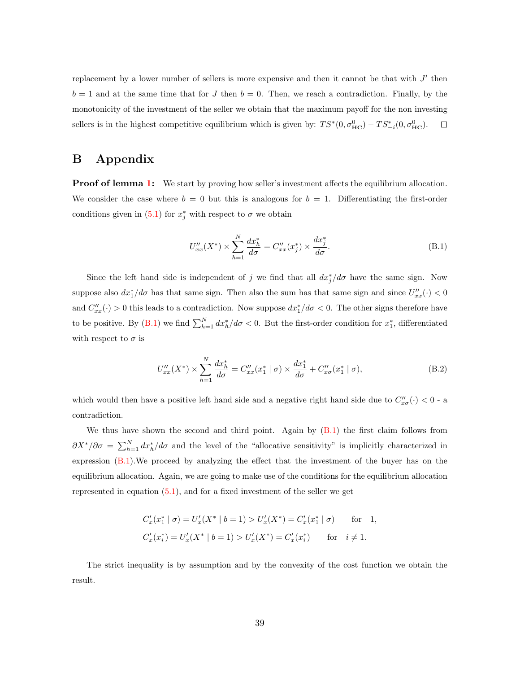replacement by a lower number of sellers is more expensive and then it cannot be that with  $J'$  then  $b = 1$  and at the same time that for J then  $b = 0$ . Then, we reach a contradiction. Finally, by the monotonicity of the investment of the seller we obtain that the maximum payoff for the non investing sellers is in the highest competitive equilibrium which is given by:  $TS^*(0, \sigma_{HC}^0) - TS^*_{-i}(0, \sigma_{HC}^0)$ .  $\Box$ 

# B Appendix

<span id="page-39-0"></span>**Proof of lemma [1:](#page-13-1)** We start by proving how seller's investment affects the equilibrium allocation. We consider the case where  $b = 0$  but this is analogous for  $b = 1$ . Differentiating the first-order conditions given in [\(5.1\)](#page-13-2) for  $x_j^*$  with respect to  $\sigma$  we obtain

<span id="page-39-2"></span>
$$
U''_{xx}(X^*) \times \sum_{h=1}^{N} \frac{dx_h^*}{d\sigma} = C''_{xx}(x_j^*) \times \frac{dx_j^*}{d\sigma}.
$$
 (B.1)

Since the left hand side is independent of j we find that all  $dx_j^*/d\sigma$  have the same sign. Now suppose also  $dx_1^*/d\sigma$  has that same sign. Then also the sum has that same sign and since  $U''_{xx}(\cdot) < 0$ and  $C''_{xx}(\cdot) > 0$  this leads to a contradiction. Now suppose  $dx_1^*/d\sigma < 0$ . The other signs therefore have to be positive. By [\(B.1\)](#page-39-2) we find  $\sum_{h=1}^{N} dx_h^*/d\sigma < 0$ . But the first-order condition for  $x_1^*$ , differentiated with respect to  $\sigma$  is

$$
U''_{xx}(X^*) \times \sum_{h=1}^{N} \frac{dx_h^*}{d\sigma} = C''_{xx}(x_1^* \mid \sigma) \times \frac{dx_1^*}{d\sigma} + C''_{x\sigma}(x_1^* \mid \sigma), \tag{B.2}
$$

which would then have a positive left hand side and a negative right hand side due to  $C''_{x\sigma}(\cdot) < 0$  - a contradiction.

We thus have shown the second and third point. Again by  $(B.1)$  the first claim follows from  $\partial X^*/\partial \sigma = \sum_{h=1}^N dx_h^*/d\sigma$  and the level of the "allocative sensitivity" is implicitly characterized in expression [\(B.1\)](#page-39-2).We proceed by analyzing the effect that the investment of the buyer has on the equilibrium allocation. Again, we are going to make use of the conditions for the equilibrium allocation represented in equation  $(5.1)$ , and for a fixed investment of the seller we get

$$
C'_x(x_1^* | \sigma) = U'_x(X^* | b = 1) > U'_x(X^*) = C'_x(x_1^* | \sigma) \quad \text{for} \quad 1,
$$
  

$$
C'_x(x_i^*) = U'_x(X^* | b = 1) > U'_x(X^*) = C'_x(x_i^*) \quad \text{for} \quad i \neq 1.
$$

<span id="page-39-1"></span>The strict inequality is by assumption and by the convexity of the cost function we obtain the result.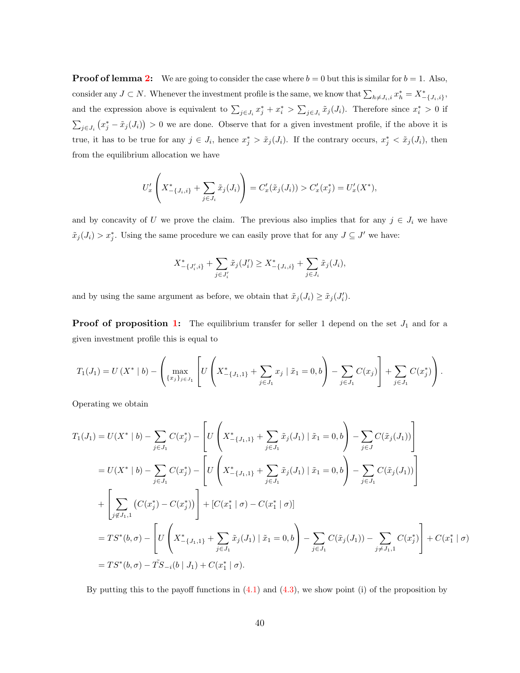**Proof of lemma [2:](#page-16-0)** We are going to consider the case where  $b = 0$  but this is similar for  $b = 1$ . Also, consider any  $J \subset N$ . Whenever the investment profile is the same, we know that  $\sum_{h \neq J_i,i} x_h^* = X_{-\{J_i,i\}}^*$ , and the expression above is equivalent to  $\sum_{j\in J_i} x_j^* + x_i^* > \sum_{j\in J_i} \tilde{x}_j(J_i)$ . Therefore since  $x_i^* > 0$  if  $\sum_{j\in J_i} (x_j^* - \tilde{x}_j(J_i)) > 0$  we are done. Observe that for a given investment profile, if the above it is true, it has to be true for any  $j \in J_i$ , hence  $x_j^* > \tilde{x}_j(J_i)$ . If the contrary occurs,  $x_j^* < \tilde{x}_j(J_i)$ , then from the equilibrium allocation we have

$$
U'_x \left( X^*_{-\{J_i,i\}} + \sum_{j \in J_i} \tilde{x}_j(J_i) \right) = C'_x(\tilde{x}_j(J_i)) > C'_x(x^*_j) = U'_x(X^*),
$$

and by concavity of U we prove the claim. The previous also implies that for any  $j \in J_i$  we have  $\tilde{x}_j(J_i) > x_j^*$ . Using the same procedure we can easily prove that for any  $J \subseteq J'$  we have:

$$
X_{-\{J'_i,i\}}^* + \sum_{j \in J'_i} \tilde{x}_j(J'_i) \ge X_{-\{J_i,i\}}^* + \sum_{j \in J_i} \tilde{x}_j(J_i),
$$

and by using the same argument as before, we obtain that  $\tilde{x}_j(J_i) \geq \tilde{x}_j(J'_i)$ .

<span id="page-40-0"></span>**Proof of proposition [1:](#page-17-0)** The equilibrium transfer for seller 1 depend on the set  $J_1$  and for a given investment profile this is equal to

$$
T_1(J_1) = U(X^* | b) - \left( \max_{\{x_j\}_{j \in J_1}} \left[ U\left(X^*_{-\{J_1,1\}} + \sum_{j \in J_1} x_j \mid \tilde{x}_1 = 0, b \right) - \sum_{j \in J_1} C(x_j) \right] + \sum_{j \in J_1} C(x_j^*) \right).
$$

Operating we obtain

$$
T_1(J_1) = U(X^* | b) - \sum_{j \in J_1} C(x_j^*) - \left[ U\left(X_{-\{J_1,1\}}^* + \sum_{j \in J_1} \tilde{x}_j(J_1) | \tilde{x}_1 = 0, b \right) - \sum_{j \in J} C(\tilde{x}_j(J_1)) \right]
$$
  
\n
$$
= U(X^* | b) - \sum_{j \in J_1} C(x_j^*) - \left[ U\left(X_{-\{J_1,1\}}^* + \sum_{j \in J_1} \tilde{x}_j(J_1) | \tilde{x}_1 = 0, b \right) - \sum_{j \in J_1} C(\tilde{x}_j(J_1)) \right]
$$
  
\n
$$
+ \left[ \sum_{j \notin J_1,1} \left( C(x_j^*) - C(x_j^*) \right) \right] + \left[ C(x_1^* | \sigma) - C(x_1^* | \sigma) \right]
$$
  
\n
$$
= TS^*(b, \sigma) - \left[ U\left(X_{-\{J_1,1\}}^* + \sum_{j \in J_1} \tilde{x}_j(J_1) | \tilde{x}_1 = 0, b \right) - \sum_{j \in J_1} C(\tilde{x}_j(J_1)) - \sum_{j \notin J_1,1} C(x_j^*) \right] + C(x_1^* | \sigma)
$$
  
\n
$$
= TS^*(b, \sigma) - \tilde{TS}_{-i}(b | J_1) + C(x_1^* | \sigma).
$$

By putting this to the payoff functions in  $(4.1)$  and  $(4.3)$ , we show point (i) of the proposition by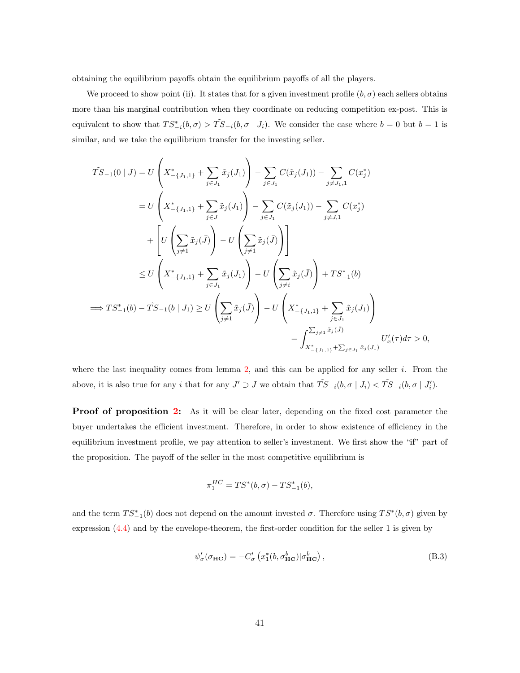obtaining the equilibrium payoffs obtain the equilibrium payoffs of all the players.

We proceed to show point (ii). It states that for a given investment profile  $(b, \sigma)$  each sellers obtains more than his marginal contribution when they coordinate on reducing competition ex-post. This is equivalent to show that  $TS_{-i}^*(b, \sigma) > TS_{-i}(b, \sigma | J_i)$ . We consider the case where  $b = 0$  but  $b = 1$  is similar, and we take the equilibrium transfer for the investing seller.

$$
\tilde{TS}_{-1}(0 | J) = U\left(X_{-\{J_{1,1}\}}^{*} + \sum_{j \in J_{1}} \tilde{x}_{j}(J_{1})\right) - \sum_{j \in J_{1}} C(\tilde{x}_{j}(J_{1})) - \sum_{j \neq J_{1,1}} C(x_{j}^{*})
$$
\n
$$
= U\left(X_{-\{J_{1,1}\}}^{*} + \sum_{j \in J_{1}} \tilde{x}_{j}(J_{1})\right) - \sum_{j \in J_{1}} C(\tilde{x}_{j}(J_{1})) - \sum_{j \neq J_{1},1} C(x_{j}^{*})
$$
\n
$$
+ \left[U\left(\sum_{j \neq 1} \tilde{x}_{j}(\bar{J})\right) - U\left(\sum_{j \neq 1} \tilde{x}_{j}(\bar{J})\right)\right]
$$
\n
$$
\leq U\left(X_{-\{J_{1,1}\}}^{*} + \sum_{j \in J_{1}} \tilde{x}_{j}(J_{1})\right) - U\left(\sum_{j \neq i} \tilde{x}_{j}(\bar{J})\right) + TS_{-1}^{*}(b)
$$
\n
$$
\implies TS_{-1}^{*}(b) - \tilde{TS}_{-1}(b | J_{1}) \geq U\left(\sum_{j \neq 1} \tilde{x}_{j}(\bar{J})\right) - U\left(X_{-\{J_{1,1}\}}^{*} + \sum_{j \in J_{1}} \tilde{x}_{j}(J_{1})\right)
$$
\n
$$
= \int_{X_{-\{J_{1,1}\}}^{*} + \sum_{j \in J_{1}} \tilde{x}_{j}(J_{1})} U_{x}'(\tau) d\tau > 0,
$$

where the last inequality comes from lemma [2,](#page-16-0) and this can be applied for any seller  $i$ . From the above, it is also true for any i that for any  $J' \supset J$  we obtain that  $\tilde{TS}_{-i}(b, \sigma | J_i) < \tilde{TS}_{-i}(b, \sigma | J'_i)$ .

<span id="page-41-0"></span>**Proof of proposition [2:](#page-20-0)** As it will be clear later, depending on the fixed cost parameter the buyer undertakes the efficient investment. Therefore, in order to show existence of efficiency in the equilibrium investment profile, we pay attention to seller's investment. We first show the "if" part of the proposition. The payoff of the seller in the most competitive equilibrium is

$$
\pi_1^{HC} = TS^*(b, \sigma) - TS^*_{-1}(b),
$$

and the term  $TS_{-1}^*(b)$  does not depend on the amount invested  $\sigma$ . Therefore using  $TS^*(b, \sigma)$  given by expression [\(4.4\)](#page-12-1) and by the envelope-theorem, the first-order condition for the seller 1 is given by

$$
\psi_{\sigma}^{\prime}(\sigma_{\mathbf{HC}}) = -C_{\sigma}^{\prime} \left( x_{1}^{*}(b, \sigma_{\mathbf{HC}}^{b}) | \sigma_{\mathbf{HC}}^{b} \right), \tag{B.3}
$$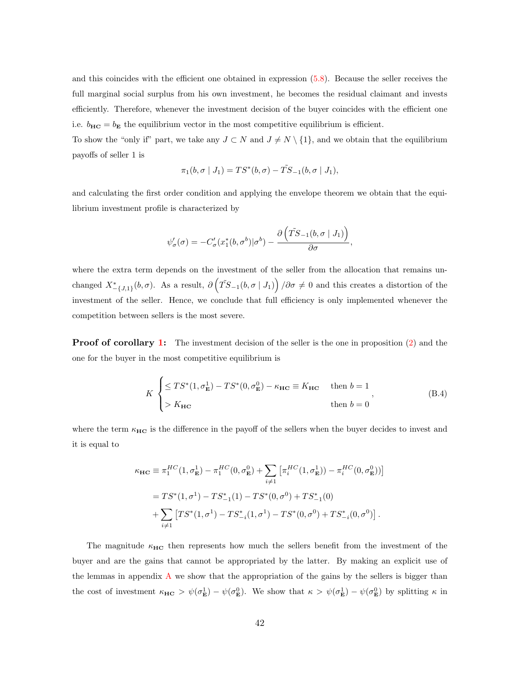and this coincides with the efficient one obtained in expression [\(5.8\)](#page-18-1). Because the seller receives the full marginal social surplus from his own investment, he becomes the residual claimant and invests efficiently. Therefore, whenever the investment decision of the buyer coincides with the efficient one i.e.  $b_{HC} = b_E$  the equilibrium vector in the most competitive equilibrium is efficient.

To show the "only if" part, we take any  $J \subset N$  and  $J \neq N \setminus \{1\}$ , and we obtain that the equilibrium payoffs of seller 1 is

$$
\pi_1(b, \sigma | J_1) = TS^*(b, \sigma) - \tilde{TS}_{-1}(b, \sigma | J_1),
$$

and calculating the first order condition and applying the envelope theorem we obtain that the equilibrium investment profile is characterized by

$$
\psi_{\sigma}'(\sigma) = -C_{\sigma}'(x_1^*(b, \sigma^b)|\sigma^b) - \frac{\partial (\tilde{TS}_{-1}(b, \sigma | J_1))}{\partial \sigma},
$$

where the extra term depends on the investment of the seller from the allocation that remains unchanged  $X^*_{-\{J,1\}}(b,\sigma)$ . As a result,  $\partial (\tilde{T}S_{-1}(b,\sigma | J_1))/\partial \sigma \neq 0$  and this creates a distortion of the investment of the seller. Hence, we conclude that full efficiency is only implemented whenever the competition between sellers is the most severe.

<span id="page-42-0"></span>**Proof of corollary [1:](#page-20-1)** The investment decision of the seller is the one in proposition [\(2\)](#page-20-0) and the one for the buyer in the most competitive equilibrium is

$$
K \begin{cases} \leq TS^*(1, \sigma_{\mathbf{E}}^1) - TS^*(0, \sigma_{\mathbf{E}}^0) - \kappa_{\mathbf{HC}} \equiv K_{\mathbf{HC}} & \text{then } b = 1 \\ > K_{\mathbf{HC}} & \text{then } b = 0 \end{cases}
$$
(B.4)

where the term  $\kappa_{\text{HC}}$  is the difference in the payoff of the sellers when the buyer decides to invest and it is equal to

$$
\kappa_{\mathbf{HC}} \equiv \pi_1^{HC}(1, \sigma_{\mathbf{E}}^1) - \pi_1^{HC}(0, \sigma_{\mathbf{E}}^0) + \sum_{i \neq 1} \left[ \pi_i^{HC}(1, \sigma_{\mathbf{E}}^1)) - \pi_i^{HC}(0, \sigma_{\mathbf{E}}^0) \right]
$$
  
=  $TS^*(1, \sigma^1) - TS^*_{-1}(1) - TS^*(0, \sigma^0) + TS^*_{-1}(0)$   
+  $\sum_{i \neq 1} \left[ TS^*(1, \sigma^1) - TS^*_{-i}(1, \sigma^1) - TS^*(0, \sigma^0) + TS^*_{-i}(0, \sigma^0) \right].$ 

The magnitude  $\kappa_{HC}$  then represents how much the sellers benefit from the investment of the buyer and are the gains that cannot be appropriated by the latter. By making an explicit use of the lemmas in appendix  $\bf{A}$  $\bf{A}$  $\bf{A}$  we show that the appropriation of the gains by the sellers is bigger than the cost of investment  $\kappa_{\text{HC}} > \psi(\sigma_{\text{E}}^1) - \psi(\sigma_{\text{E}}^0)$ . We show that  $\kappa > \psi(\sigma_{\text{E}}^1) - \psi(\sigma_{\text{E}}^0)$  by splitting  $\kappa$  in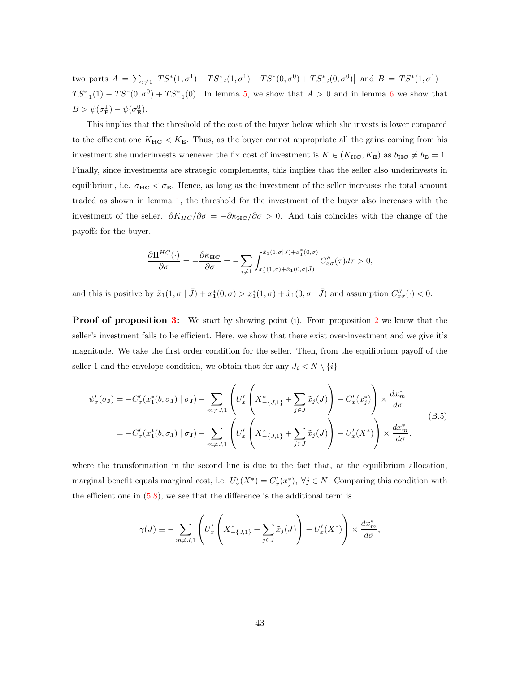two parts  $A = \sum_{i \neq 1} [TS^*(1, \sigma^1) - TS^*_{-i}(1, \sigma^1) - TS^*(0, \sigma^0) + TS^*_{-i}(0, \sigma^0)]$  and  $B = TS^*(1, \sigma^1)$  $TS^*_{-1}(1) - TS^*(0, \sigma^0) + TS^*_{-1}(0)$ . In lemma [5,](#page-36-1) we show that  $A > 0$  and in lemma [6](#page-37-0) we show that  $B > \psi(\sigma_{\mathbf{E}}^1) - \psi(\sigma_{\mathbf{E}}^0).$ 

This implies that the threshold of the cost of the buyer below which she invests is lower compared to the efficient one  $K_{HC} < K_{E}$ . Thus, as the buyer cannot appropriate all the gains coming from his investment she underinvests whenever the fix cost of investment is  $K \in (K_{HC}, K_{E})$  as  $b_{HC} \neq b_{E} = 1$ . Finally, since investments are strategic complements, this implies that the seller also underinvests in equilibrium, i.e.  $\sigma_{HC} < \sigma_E$ . Hence, as long as the investment of the seller increases the total amount traded as shown in lemma [1,](#page-13-1) the threshold for the investment of the buyer also increases with the investment of the seller.  $\partial K_{HC}/\partial \sigma = -\partial \kappa_{HC}/\partial \sigma > 0$ . And this coincides with the change of the payoffs for the buyer.

$$
\frac{\partial \Pi^{HC}(\cdot)}{\partial \sigma} = -\frac{\partial \kappa_{HC}}{\partial \sigma} = -\sum_{i \neq 1} \int_{x_1^*(1,\sigma) + \tilde{x}_1(0,\sigma)}^{\tilde{x}_1(1,\sigma) + x_1^*(0,\sigma)} C''_{x\sigma}(\tau) d\tau > 0,
$$

and this is positive by  $\tilde{x}_1(1, \sigma | \bar{J}) + x_1^*(0, \sigma) > x_1^*(1, \sigma) + \tilde{x}_1(0, \sigma | \bar{J})$  and assumption  $C''_{x\sigma}(\cdot) < 0$ .

<span id="page-43-0"></span>**Proof of proposition [3:](#page-21-0)** We start by showing point (i). From proposition [2](#page-20-0) we know that the seller's investment fails to be efficient. Here, we show that there exist over-investment and we give it's magnitude. We take the first order condition for the seller. Then, from the equilibrium payoff of the seller 1 and the envelope condition, we obtain that for any  $J_i \langle N \setminus \{i\}\rangle$ 

<span id="page-43-1"></span>
$$
\psi_{\sigma}'(\sigma_{\mathbf{J}}) = -C_{\sigma}'(x_{1}^{*}(b, \sigma_{\mathbf{J}}) \mid \sigma_{\mathbf{J}}) - \sum_{m \neq J, 1} \left( U_{x}' \left( X_{-\{J, 1\}}^{*} + \sum_{j \in J} \tilde{x}_{j}(J) \right) - C_{x}'(x_{j}^{*}) \right) \times \frac{dx_{m}^{*}}{d\sigma}
$$
\n
$$
= -C_{\sigma}'(x_{1}^{*}(b, \sigma_{\mathbf{J}}) \mid \sigma_{\mathbf{J}}) - \sum_{m \neq J, 1} \left( U_{x}' \left( X_{-\{J, 1\}}^{*} + \sum_{j \in J} \tilde{x}_{j}(J) \right) - U_{x}'(X^{*}) \right) \times \frac{dx_{m}^{*}}{d\sigma}, \tag{B.5}
$$

where the transformation in the second line is due to the fact that, at the equilibrium allocation, marginal benefit equals marginal cost, i.e.  $U'_x(X^*) = C'_x(x_j^*), \ \forall j \in N$ . Comparing this condition with the efficient one in  $(5.8)$ , we see that the difference is the additional term is

$$
\gamma(J) \equiv -\sum_{m \neq J,1} \left( U_x' \left( X_{-\{J,1\}}^* + \sum_{j \in J} \tilde{x}_j(J) \right) - U_x'(X^*) \right) \times \frac{dx_m^*}{d\sigma},
$$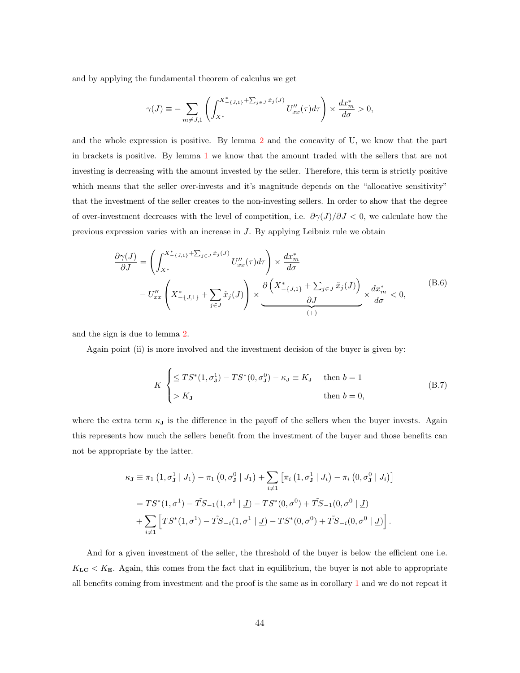and by applying the fundamental theorem of calculus we get

$$
\gamma(J) \equiv -\sum_{m \neq J,1} \left( \int_{X^*}^{X^*_{-\{J,1\}} + \sum_{j \in J} \tilde{x}_j(J)} U''_{xx}(\tau) d\tau \right) \times \frac{dx_m^*}{d\sigma} > 0,
$$

and the whole expression is positive. By lemma [2](#page-16-0) and the concavity of U, we know that the part in brackets is positive. By lemma [1](#page-13-1) we know that the amount traded with the sellers that are not investing is decreasing with the amount invested by the seller. Therefore, this term is strictly positive which means that the seller over-invests and it's magnitude depends on the "allocative sensitivity" that the investment of the seller creates to the non-investing sellers. In order to show that the degree of over-investment decreases with the level of competition, i.e.  $\partial \gamma(J)/\partial J < 0$ , we calculate how the previous expression varies with an increase in J. By applying Leibniz rule we obtain

$$
\frac{\partial \gamma(J)}{\partial J} = \left( \int_{X^*}^{X^*_{-\{J,1\}} + \sum_{j \in J} \tilde{x}_j(J)} U''_{xx}(\tau) d\tau \right) \times \frac{dx_m^*}{d\sigma} \n- U''_{xx} \left( X^*_{-\{J,1\}} + \sum_{j \in J} \tilde{x}_j(J) \right) \times \underbrace{\frac{\partial \left( X^*_{-\{J,1\}} + \sum_{j \in J} \tilde{x}_j(J) \right)}{\partial J} \times \frac{dx_m^*}{d\sigma} < 0, \tag{B.6}
$$

and the sign is due to lemma [2.](#page-16-0)

Again point (ii) is more involved and the investment decision of the buyer is given by:

$$
K \begin{cases} \leq TS^*(1, \sigma_J^1) - TS^*(0, \sigma_J^0) - \kappa_J \equiv K_J & \text{then } b = 1\\ > K_J & \text{then } b = 0, \end{cases}
$$
(B.7)

where the extra term  $\kappa_J$  is the difference in the payoff of the sellers when the buyer invests. Again this represents how much the sellers benefit from the investment of the buyer and those benefits can not be appropriate by the latter.

$$
\kappa_{\mathbf{J}} \equiv \pi_1 (1, \sigma_{\mathbf{J}}^1 | J_1) - \pi_1 (0, \sigma_{\mathbf{J}}^0 | J_1) + \sum_{i \neq 1} \left[ \pi_i (1, \sigma_{\mathbf{J}}^1 | J_i) - \pi_i (0, \sigma_{\mathbf{J}}^0 | J_i) \right]
$$
  
=  $TS^*(1, \sigma^1) - \tilde{TS}_{-1}(1, \sigma^1 | \underline{J}) - TS^*(0, \sigma^0) + \tilde{TS}_{-1}(0, \sigma^0 | \underline{J})$   
+  $\sum_{i \neq 1} \left[ TS^*(1, \sigma^1) - \tilde{TS}_{-i}(1, \sigma^1 | \underline{J}) - TS^*(0, \sigma^0) + \tilde{TS}_{-i}(0, \sigma^0 | \underline{J}) \right].$ 

And for a given investment of the seller, the threshold of the buyer is below the efficient one i.e.  $K_{\text{LC}} < K_{\text{E}}$ . Again, this comes from the fact that in equilibrium, the buyer is not able to appropriate all benefits coming from investment and the proof is the same as in corollary [1](#page-20-1) and we do not repeat it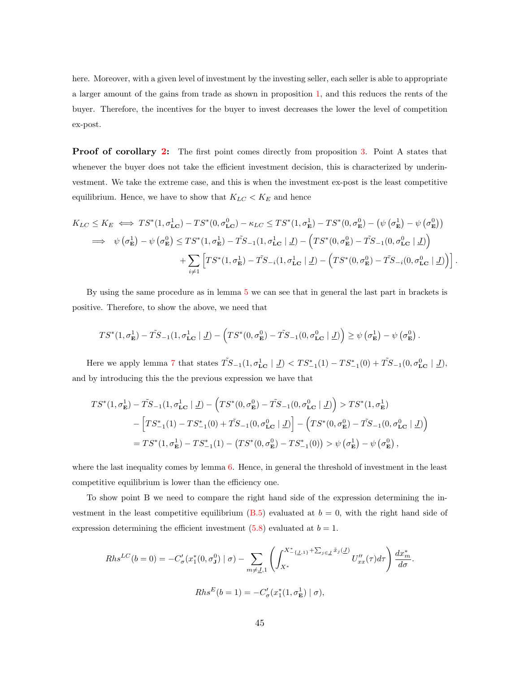here. Moreover, with a given level of investment by the investing seller, each seller is able to appropriate a larger amount of the gains from trade as shown in proposition [1,](#page-17-0) and this reduces the rents of the buyer. Therefore, the incentives for the buyer to invest decreases the lower the level of competition ex-post.

<span id="page-45-0"></span>**Proof of corollary [2:](#page-22-0)** The first point comes directly from proposition [3.](#page-21-0) Point A states that whenever the buyer does not take the efficient investment decision, this is characterized by underinvestment. We take the extreme case, and this is when the investment ex-post is the least competitive equilibrium. Hence, we have to show that  $K_{LC} < K_E$  and hence

$$
K_{LC} \leq K_E \iff TS^*(1, \sigma_{LC}^1) - TS^*(0, \sigma_{LC}^0) - \kappa_{LC} \leq TS^*(1, \sigma_E^1) - TS^*(0, \sigma_E^0) - (\psi(\sigma_E^1) - \psi(\sigma_E^0))
$$
  
\n
$$
\implies \psi(\sigma_E^1) - \psi(\sigma_E^0) \leq TS^*(1, \sigma_E^1) - \tilde{TS}_{-1}(1, \sigma_{LC}^1 \mid \underline{J}) - \left(TS^*(0, \sigma_E^0) - \tilde{TS}_{-1}(0, \sigma_{LC}^0 \mid \underline{J})\right)
$$
  
\n
$$
+ \sum_{i \neq 1} \left[ TS^*(1, \sigma_E^1) - \tilde{TS}_{-i}(1, \sigma_{LC}^1 \mid \underline{J}) - \left(TS^*(0, \sigma_E^0) - \tilde{TS}_{-i}(0, \sigma_{LC}^0 \mid \underline{J})\right) \right].
$$

By using the same procedure as in lemma [5](#page-36-1) we can see that in general the last part in brackets is positive. Therefore, to show the above, we need that

$$
TS^*(1, \sigma_{\mathbf{E}}^1) - \tilde{TS}_{-1}(1, \sigma_{\mathbf{LC}}^1 \mid \underline{J}) - \left(TS^*(0, \sigma_{\mathbf{E}}^0) - \tilde{TS}_{-1}(0, \sigma_{\mathbf{LC}}^0 \mid \underline{J})\right) \geq \psi\left(\sigma_{\mathbf{E}}^1\right) - \psi\left(\sigma_{\mathbf{E}}^0\right).
$$

Here we apply lemma [7](#page-38-0) that states  $\tilde{TS}_{-1}(1, \sigma_{LC}^1 \mid \underline{J}) < TS^*_{-1}(1) - TS^*_{-1}(0) + \tilde{TS}_{-1}(0, \sigma_{LC}^0 \mid \underline{J})$ , and by introducing this the the previous expression we have that

$$
TS^{*}(1, \sigma_{\mathbf{E}}^{1}) - \tilde{TS}_{-1}(1, \sigma_{\mathbf{LC}}^{1} | \underline{J}) - \left( TS^{*}(0, \sigma_{\mathbf{E}}^{0}) - \tilde{TS}_{-1}(0, \sigma_{\mathbf{LC}}^{0} | \underline{J}) \right) > TS^{*}(1, \sigma_{\mathbf{E}}^{1})
$$
  
- 
$$
\left[ TS^{*}_{-1}(1) - TS^{*}_{-1}(0) + \tilde{TS}_{-1}(0, \sigma_{\mathbf{LC}}^{0} | \underline{J}) \right] - \left( TS^{*}(0, \sigma_{\mathbf{E}}^{0}) - \tilde{TS}_{-1}(0, \sigma_{\mathbf{LC}}^{0} | \underline{J}) \right)
$$
  
= 
$$
TS^{*}(1, \sigma_{\mathbf{E}}^{1}) - TS^{*}_{-1}(1) - \left( TS^{*}(0, \sigma_{\mathbf{E}}^{0}) - TS^{*}_{-1}(0) \right) > \psi(\sigma_{\mathbf{E}}^{1}) - \psi(\sigma_{\mathbf{E}}^{0}),
$$

where the last inequality comes by lemma [6.](#page-37-0) Hence, in general the threshold of investment in the least competitive equilibrium is lower than the efficiency one.

To show point B we need to compare the right hand side of the expression determining the in-vestment in the least competitive equilibrium [\(B.5\)](#page-43-1) evaluated at  $b = 0$ , with the right hand side of expression determining the efficient investment  $(5.8)$  evaluated at  $b = 1$ .

$$
Rhs^{LC}(b=0) = -C'_{\sigma}(x_1^*(0, \sigma_1^0) \mid \sigma) - \sum_{m \neq \underline{J}, 1} \left( \int_{X^*}^{X^*_{-\{ \underline{J}, 1 \}} + \sum_{j \in \underline{J}} \tilde{x}_j(\underline{J})} U''_{xx}(\tau) d\tau \right) \frac{dx_m^*}{d\sigma}.
$$

$$
Rhs^E(b=1) = -C'_{\sigma}(x_1^*(1, \sigma_{\mathbf{E}}^1) \mid \sigma),
$$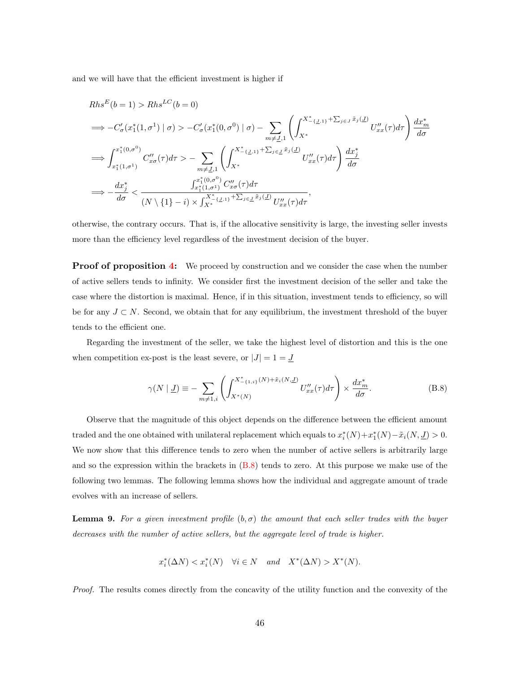and we will have that the efficient investment is higher if

$$
Rhs^{E}(b = 1) > Rhs^{LC}(b = 0)
$$
  
\n
$$
\implies -C'_{\sigma}(x_{1}^{*}(1, \sigma^{1}) | \sigma) > -C'_{\sigma}(x_{1}^{*}(0, \sigma^{0}) | \sigma) - \sum_{m \neq \underline{J}, 1} \left( \int_{X^{*}}^{X^{*}_{-}\{L, 1\}} \sum_{j \in J} \tilde{x}_{j}(\underline{J}) U''_{xx}(\tau) d\tau \right) \frac{dx_{m}^{*}}{d\sigma}
$$
  
\n
$$
\implies \int_{x_{1}^{*}(1, \sigma^{1})}^{x_{1}^{*}(0, \sigma^{0})} C''_{x\sigma}(\tau) d\tau > - \sum_{m \neq \underline{J}, 1} \left( \int_{X^{*}}^{X^{*}_{-}\{L, 1\}} \sum_{j \in \underline{J}} \tilde{x}_{j}(\underline{J}) U''_{xx}(\tau) d\tau \right) \frac{dx_{j}^{*}}{d\sigma}
$$
  
\n
$$
\implies -\frac{dx_{j}^{*}}{d\sigma} < \frac{\int_{x_{1}^{*}(1, \sigma^{1})}^{x_{1}^{*}(0, \sigma^{0})} C''_{x\sigma}(\tau) d\tau}{(N \setminus \{1\} - i) \times \int_{X^{*}}^{X^{*}_{-}\{L, 1\}} \sum_{j \in \underline{J}} \tilde{x}_{j}(\underline{J})} U''_{xx}(\tau) d\tau,
$$

otherwise, the contrary occurs. That is, if the allocative sensitivity is large, the investing seller invests more than the efficiency level regardless of the investment decision of the buyer.

<span id="page-46-0"></span>**Proof of proposition [4:](#page-25-0)** We proceed by construction and we consider the case when the number of active sellers tends to infinity. We consider first the investment decision of the seller and take the case where the distortion is maximal. Hence, if in this situation, investment tends to efficiency, so will be for any  $J \subset N$ . Second, we obtain that for any equilibrium, the investment threshold of the buyer tends to the efficient one.

Regarding the investment of the seller, we take the highest level of distortion and this is the one when competition ex-post is the least severe, or  $|J| = 1 = \underline{J}$ 

<span id="page-46-1"></span>
$$
\gamma(N \mid \underline{J}) \equiv -\sum_{m \neq 1, i} \left( \int_{X^*(N)}^{X^*_{-\{1,i\}}(N) + \tilde{x}_i(N, \underline{J})} U_{xx}''(\tau) d\tau \right) \times \frac{dx_m^*}{d\sigma}.
$$
 (B.8)

Observe that the magnitude of this object depends on the difference between the efficient amount traded and the one obtained with unilateral replacement which equals to  $x_i^*(N) + x_1^*(N) - \tilde{x}_i(N, \underline{J}) > 0$ . We now show that this difference tends to zero when the number of active sellers is arbitrarily large and so the expression within the brackets in  $(B.8)$  tends to zero. At this purpose we make use of the following two lemmas. The following lemma shows how the individual and aggregate amount of trade evolves with an increase of sellers.

<span id="page-46-2"></span>**Lemma 9.** For a given investment profile  $(b, \sigma)$  the amount that each seller trades with the buyer decreases with the number of active sellers, but the aggregate level of trade is higher.

$$
x_i^*(\Delta N) < x_i^*(N) \quad \forall i \in N \quad \text{and} \quad X^*(\Delta N) > X^*(N).
$$

Proof. The results comes directly from the concavity of the utility function and the convexity of the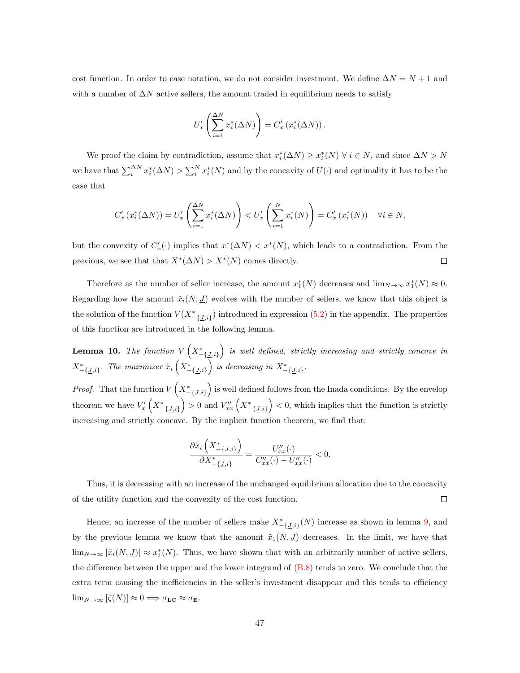cost function. In order to ease notation, we do not consider investment. We define  $\Delta N = N + 1$  and with a number of  $\Delta N$  active sellers, the amount traded in equilibrium needs to satisfy

$$
U'_x \left( \sum_{i=1}^{\Delta N} x_i^* (\Delta N) \right) = C'_x \left( x_i^* (\Delta N) \right).
$$

We proof the claim by contradiction, assume that  $x_i^*(\Delta N) \ge x_i^*(N)$   $\forall i \in N$ , and since  $\Delta N > N$ we have that  $\sum_{i=1}^{N} x_i^*(\Delta N) > \sum_{i=1}^{N} x_i^*(N)$  and by the concavity of  $U(\cdot)$  and optimality it has to be the case that

$$
C'_{x}(x_{i}^{*}(\Delta N)) = U'_{x}\left(\sum_{i=1}^{\Delta N} x_{i}^{*}(\Delta N)\right) < U'_{x}\left(\sum_{i=1}^{N} x_{i}^{*}(N)\right) = C'_{x}(x_{i}^{*}(N)) \quad \forall i \in N,
$$

but the convexity of  $C'_x(\cdot)$  implies that  $x^*(\Delta N) < x^*(N)$ , which leads to a contradiction. From the previous, we see that that  $X^*(\Delta N) > X^*(N)$  comes directly.  $\Box$ 

Therefore as the number of seller increase, the amount  $x_1^*(N)$  decreases and  $\lim_{N\to\infty}x_1^*(N)\approx 0$ . Regarding how the amount  $\tilde{x}_i(N, \underline{J})$  evolves with the number of sellers, we know that this object is the solution of the function  $V(X^*_{-\{J,i\}})$  introduced in expression [\(5.2\)](#page-15-1) in the appendix. The properties of this function are introduced in the following lemma.

**Lemma 10.** The function  $V\left(X^*_{-\{J,i\}}\right)$  is well defined, strictly increasing and strictly concave in  $X^*_{-\{J,i\}}$ . The maximizer  $\tilde{x}_i\left(X^*_{-\{J,i\}}\right)$  is decreasing in  $X^*_{-\{J,i\}}$ .

*Proof.* That the function  $V\left(X^*_{-\{J,i\}}\right)$  is well defined follows from the Inada conditions. By the envelop theorem we have  $V'_x\left(X^*_{-\{\underline{J},i\}}\right) > 0$  and  $V''_{xx}\left(X^*_{-\{\underline{J},i\}}\right) < 0$ , which implies that the function is strictly increasing and strictly concave. By the implicit function theorem, we find that:

$$
\frac{\partial \tilde{x}_i\left(X^*_{-\{\underline{J},i\}}\right)}{\partial X^*_{-\{\underline{J},i\}}} = \frac{U''_{xx}(\cdot)}{C''_{xx}(\cdot) - U''_{xx}(\cdot)} < 0.
$$

Thus, it is decreasing with an increase of the unchanged equilibrium allocation due to the concavity  $\Box$ of the utility function and the convexity of the cost function.

Hence, an increase of the number of sellers make  $X^*_{-\{J,i\}}(N)$  increase as shown in lemma [9,](#page-46-2) and by the previous lemma we know that the amount  $\tilde{x}_1(N, \underline{J})$  decreases. In the limit, we have that  $\lim_{N\to\infty} [\tilde{x}_i(N,\underline{J})] \approx x_i^*(N)$ . Thus, we have shown that with an arbitrarily number of active sellers, the difference between the upper and the lower integrand of [\(B.8\)](#page-46-1) tends to zero. We conclude that the extra term causing the inefficiencies in the seller's investment disappear and this tends to efficiency  $\lim_{N\to\infty} [\zeta(N)] \approx 0 \Longrightarrow \sigma_{\mathbf{LC}} \approx \sigma_{\mathbf{E}}.$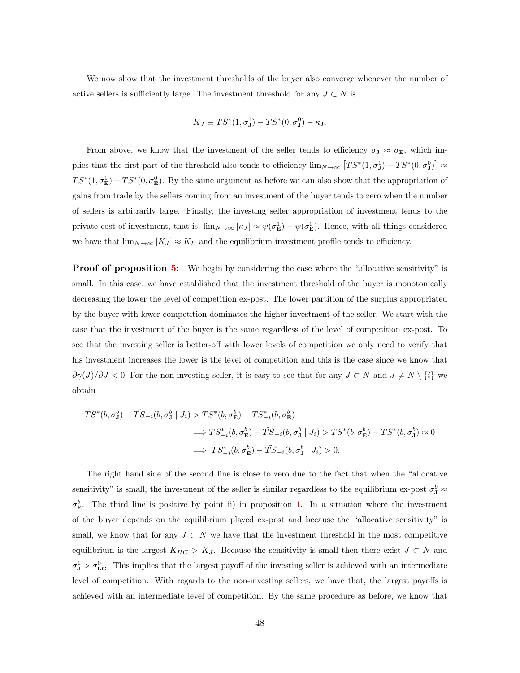We now show that the investment thresholds of the buyer also converge whenever the number of active sellers is sufficiently large. The investment threshold for any  $J \subset N$  is

$$
K_J \equiv TS^*(1,\sigma^1_{\mathbf{J}}) - TS^*(0,\sigma^0_{\mathbf{J}}) - \kappa_{\mathbf{J}}.
$$

From above, we know that the investment of the seller tends to efficiency  $\sigma_{J} \approx \sigma_{E}$ , which implies that the first part of the threshold also tends to efficiency  $\lim_{N\to\infty} [TS^*(1,\sigma^1_{\mathbf{J}}) - TS^*(0,\sigma^0_{\mathbf{J}})] \approx$  $TS^*(1,\sigma_{\mathbf{E}}) - TS^*(0,\sigma_{\mathbf{E}}^0)$ . By the same argument as before we can also show that the appropriation of gains from trade by the sellers coming from an investment of the buyer tends to zero when the number of sellers is arbitrarily large. Finally, the investing seller appropriation of investment tends to the private cost of investment, that is,  $\lim_{N\to\infty} [\kappa_J] \approx \psi(\sigma_{\mathbf{E}}^1) - \psi(\sigma_{\mathbf{E}}^0)$ . Hence, with all things considered we have that  $\lim_{N\to\infty}$  [ $K_J$ ] ≈  $K_E$  and the equilibrium investment profile tends to efficiency.

<span id="page-48-0"></span>**Proof of proposition [5:](#page-27-0)** We begin by considering the case where the "allocative sensitivity" is small. In this case, we have established that the investment threshold of the buyer is monotonically decreasing the lower the level of competition ex-post. The lower partition of the surplus appropriated by the buyer with lower competition dominates the higher investment of the seller. We start with the case that the investment of the buyer is the same regardless of the level of competition ex-post. To see that the investing seller is better-off with lower levels of competition we only need to verify that his investment increases the lower is the level of competition and this is the case since we know that  $\partial \gamma(J)/\partial J$  < 0. For the non-investing seller, it is easy to see that for any  $J \subset N$  and  $J \neq N \setminus \{i\}$  we obtain

$$
TS^*(b, \sigma_\mathbf{J}^b) - \tilde{TS}_{-i}(b, \sigma_\mathbf{J}^b | J_i) > TS^*(b, \sigma_\mathbf{E}^b) - TS_{-i}^*(b, \sigma_\mathbf{E}^b)
$$
\n
$$
\implies TS_{-i}^*(b, \sigma_\mathbf{E}^b) - \tilde{TS}_{-i}(b, \sigma_\mathbf{J}^b | J_i) > TS^*(b, \sigma_\mathbf{E}^b) - TS^*(b, \sigma_\mathbf{J}^b) \approx 0
$$
\n
$$
\implies TS_{-i}^*(b, \sigma_\mathbf{E}^b) - \tilde{TS}_{-i}(b, \sigma_\mathbf{J}^b | J_i) > 0.
$$

The right hand side of the second line is close to zero due to the fact that when the "allocative sensitivity" is small, the investment of the seller is similar regardless to the equilibrium ex-post  $\sigma_{\bf J}^b \approx$  $\sigma_{\bf E}^b$ . The third line is positive by point ii) in proposition [1.](#page-17-0) In a situation where the investment of the buyer depends on the equilibrium played ex-post and because the "allocative sensitivity" is small, we know that for any  $J \subset N$  we have that the investment threshold in the most competitive equilibrium is the largest  $K_{HC} > K_J$ . Because the sensitivity is small then there exist  $J \subset N$  and  $\sigma_{\rm J}^1 > \sigma_{\rm LC}^0$ . This implies that the largest payoff of the investing seller is achieved with an intermediate level of competition. With regards to the non-investing sellers, we have that, the largest payoffs is achieved with an intermediate level of competition. By the same procedure as before, we know that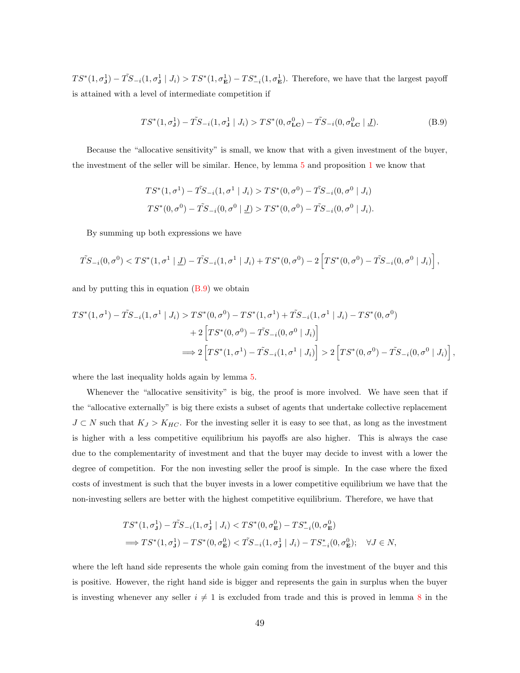$TS^*(1,\sigma_{\bf J}^1) - \tilde{TS}_{-i}(1,\sigma_{\bf J}^1 | J_i) > TS^*(1,\sigma_{\bf E}^1) - TS_{-i}^*(1,\sigma_{\bf E}^1)$ . Therefore, we have that the largest payoff is attained with a level of intermediate competition if

<span id="page-49-0"></span>
$$
TS^*(1, \sigma^1_{\mathbf{J}}) - \tilde{TS}_{-i}(1, \sigma^1_{\mathbf{J}} \mid J_i) > TS^*(0, \sigma^0_{\mathbf{LC}}) - \tilde{TS}_{-i}(0, \sigma^0_{\mathbf{LC}} \mid \underline{J}).\tag{B.9}
$$

Because the "allocative sensitivity" is small, we know that with a given investment of the buyer, the investment of the seller will be similar. Hence, by lemma [5](#page-36-1) and proposition [1](#page-17-0) we know that

$$
TS^*(1, \sigma^1) - \tilde{TS}_{-i}(1, \sigma^1 \mid J_i) > TS^*(0, \sigma^0) - \tilde{TS}_{-i}(0, \sigma^0 \mid J_i)
$$
\n
$$
TS^*(0, \sigma^0) - \tilde{TS}_{-i}(0, \sigma^0 \mid \underline{J}) > TS^*(0, \sigma^0) - \tilde{TS}_{-i}(0, \sigma^0 \mid J_i).
$$

By summing up both expressions we have

$$
\tilde{TS}_{-i}(0,\sigma^0) < TS^*(1,\sigma^1 \mid \underline{J}) - \tilde{TS}_{-i}(1,\sigma^1 \mid J_i) + TS^*(0,\sigma^0) - 2\left[ TS^*(0,\sigma^0) - \tilde{TS}_{-i}(0,\sigma^0 \mid J_i) \right],
$$

and by putting this in equation  $(B.9)$  we obtain

$$
TS^{*}(1, \sigma^{1}) - \tilde{TS}_{-i}(1, \sigma^{1} | J_{i}) > TS^{*}(0, \sigma^{0}) - TS^{*}(1, \sigma^{1}) + \tilde{TS}_{-i}(1, \sigma^{1} | J_{i}) - TS^{*}(0, \sigma^{0})
$$
  
+ 
$$
2 \left[ TS^{*}(0, \sigma^{0}) - \tilde{TS}_{-i}(0, \sigma^{0} | J_{i}) \right]
$$
  

$$
\implies 2 \left[ TS^{*}(1, \sigma^{1}) - \tilde{TS}_{-i}(1, \sigma^{1} | J_{i}) \right] > 2 \left[ TS^{*}(0, \sigma^{0}) - \tilde{TS}_{-i}(0, \sigma^{0} | J_{i}) \right],
$$

where the last inequality holds again by lemma [5.](#page-36-1)

Whenever the "allocative sensitivity" is big, the proof is more involved. We have seen that if the "allocative externally" is big there exists a subset of agents that undertake collective replacement  $J \subset N$  such that  $K_J > K_{HC}$ . For the investing seller it is easy to see that, as long as the investment is higher with a less competitive equilibrium his payoffs are also higher. This is always the case due to the complementarity of investment and that the buyer may decide to invest with a lower the degree of competition. For the non investing seller the proof is simple. In the case where the fixed costs of investment is such that the buyer invests in a lower competitive equilibrium we have that the non-investing sellers are better with the highest competitive equilibrium. Therefore, we have that

$$
TS^*(1, \sigma_J^1) - \tilde{TS}_{-i}(1, \sigma_J^1 \mid J_i) < TS^*(0, \sigma_E^0) - TS_{-i}^*(0, \sigma_E^0)
$$
\n
$$
\implies TS^*(1, \sigma_J^1) - TS^*(0, \sigma_E^0) < \tilde{TS}_{-i}(1, \sigma_J^1 \mid J_i) - TS_{-i}^*(0, \sigma_E^0); \quad \forall J \in N,
$$

where the left hand side represents the whole gain coming from the investment of the buyer and this is positive. However, the right hand side is bigger and represents the gain in surplus when the buyer is investing whenever any seller  $i \neq 1$  is excluded from trade and this is proved in lemma [8](#page-38-1) in the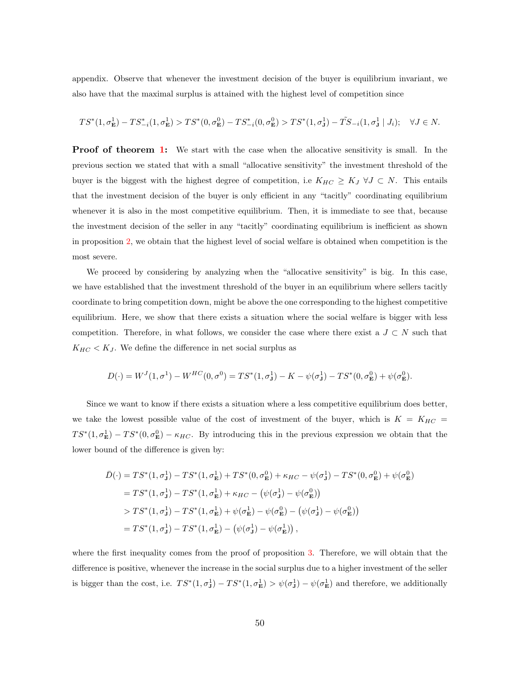appendix. Observe that whenever the investment decision of the buyer is equilibrium invariant, we also have that the maximal surplus is attained with the highest level of competition since

$$
TS^*(1,\sigma^1_{\mathbf{E}})-TS^*_{-i}(1,\sigma^1_{\mathbf{E}}) > TS^*(0,\sigma^0_{\mathbf{E}})-TS^*_{-i}(0,\sigma^0_{\mathbf{E}}) > TS^*(1,\sigma^1_{\mathbf{J}})-\tilde TS_{-i}(1,\sigma^1_{\mathbf{J}}\mid J_i); \quad \forall J\in N.
$$

<span id="page-50-0"></span>**Proof of theorem [1:](#page-29-1)** We start with the case when the allocative sensitivity is small. In the previous section we stated that with a small "allocative sensitivity" the investment threshold of the buyer is the biggest with the highest degree of competition, i.e  $K_{HC} \geq K_J \ \forall J \subset N$ . This entails that the investment decision of the buyer is only efficient in any "tacitly" coordinating equilibrium whenever it is also in the most competitive equilibrium. Then, it is immediate to see that, because the investment decision of the seller in any "tacitly" coordinating equilibrium is inefficient as shown in proposition [2,](#page-20-0) we obtain that the highest level of social welfare is obtained when competition is the most severe.

We proceed by considering by analyzing when the "allocative sensitivity" is big. In this case, we have established that the investment threshold of the buyer in an equilibrium where sellers tacitly coordinate to bring competition down, might be above the one corresponding to the highest competitive equilibrium. Here, we show that there exists a situation where the social welfare is bigger with less competition. Therefore, in what follows, we consider the case where there exist a  $J \subset N$  such that  $K_{HC} < K_J$ . We define the difference in net social surplus as

$$
D(\cdot)=W^J(1,\sigma^1)-W^{HC}(0,\sigma^0)=TS^*(1,\sigma^1_{\mathbf{J}})-K-\psi(\sigma^1_{\mathbf{J}})-TS^*(0,\sigma^0_{\mathbf{E}})+\psi(\sigma^0_{\mathbf{E}}).
$$

Since we want to know if there exists a situation where a less competitive equilibrium does better, we take the lowest possible value of the cost of investment of the buyer, which is  $K = K_{HC}$  $TS^*(1,\sigma_{\mathbf{E}}) - TS^*(0,\sigma_{\mathbf{E}}^0) - \kappa_{HC}$ . By introducing this in the previous expression we obtain that the lower bound of the difference is given by:

$$
\bar{D}(\cdot) = TS^*(1, \sigma_\mathbf{J}^1) - TS^*(1, \sigma_\mathbf{E}^1) + TS^*(0, \sigma_\mathbf{E}^0) + \kappa_{HC} - \psi(\sigma_\mathbf{J}^1) - TS^*(0, \sigma_\mathbf{E}^0) + \psi(\sigma_\mathbf{E}^0)
$$
\n
$$
= TS^*(1, \sigma_\mathbf{J}^1) - TS^*(1, \sigma_\mathbf{E}^1) + \kappa_{HC} - (\psi(\sigma_\mathbf{J}^1) - \psi(\sigma_\mathbf{E}^0))
$$
\n
$$
> TS^*(1, \sigma_\mathbf{J}^1) - TS^*(1, \sigma_\mathbf{E}^1) + \psi(\sigma_\mathbf{E}^1) - \psi(\sigma_\mathbf{E}^0) - (\psi(\sigma_\mathbf{J}^1) - \psi(\sigma_\mathbf{E}^0))
$$
\n
$$
= TS^*(1, \sigma_\mathbf{J}^1) - TS^*(1, \sigma_\mathbf{E}^1) - (\psi(\sigma_\mathbf{J}^1) - \psi(\sigma_\mathbf{E}^1)),
$$

where the first inequality comes from the proof of proposition [3.](#page-21-0) Therefore, we will obtain that the difference is positive, whenever the increase in the social surplus due to a higher investment of the seller is bigger than the cost, i.e.  $TS^*(1, \sigma_S^1) - TS^*(1, \sigma_E^1) > \psi(\sigma_S^1) - \psi(\sigma_E^1)$  and therefore, we additionally